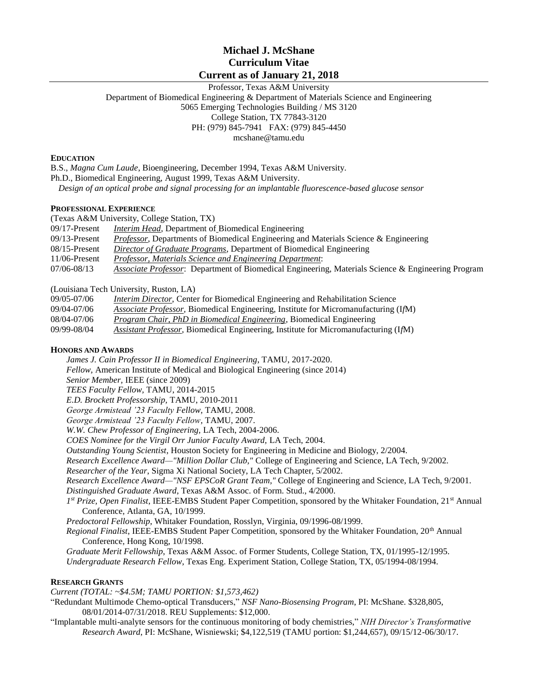# **Michael J. McShane Curriculum Vitae Current as of January 21, 2018**

Professor, Texas A&M University Department of Biomedical Engineering & Department of Materials Science and Engineering 5065 Emerging Technologies Building / MS 3120 College Station, TX 77843-3120 PH: (979) 845-7941 FAX: (979) 845-4450 mcshane@tamu.edu

### **EDUCATION**

B.S., *Magna Cum Laude*, Bioengineering, December 1994, Texas A&M University.

Ph.D., Biomedical Engineering, August 1999, Texas A&M University.

*Design of an optical probe and signal processing for an implantable fluorescence-based glucose sensor*

### **PROFESSIONAL EXPERIENCE**

(Texas A&M University, College Station, TX)

- 09/17-Present *Interim Head,* Department of Biomedical Engineering
- 09/13-Present *Professor,* Departments of Biomedical Engineering and Materials Science & Engineering
- 08/15-Present *Director of Graduate Programs*, Department of Biomedical Engineering
- 11/06-Present *Professor, Materials Science and Engineering Department*:

07/06-08/13 *Associate Professor*: Department of Biomedical Engineering, Materials Science & Engineering Program

(Louisiana Tech University, Ruston, LA)

- 09/05-07/06 *Interim Director*, Center for Biomedical Engineering and Rehabilitation Science
- 09/04-07/06 *Associate Professor,* Biomedical Engineering, Institute for Micromanufacturing (I*f*M)
- 08/04-07/06 *Program Chair, PhD in Biomedical Engineering,* Biomedical Engineering
- 09/99-08/04 *Assistant Professor,* Biomedical Engineering, Institute for Micromanufacturing (I*f*M)

### **HONORS AND AWARDS**

*James J. Cain Professor II in Biomedical Engineering*, TAMU, 2017-2020. *Fellow,* American Institute of Medical and Biological Engineering (since 2014) *Senior Member,* IEEE (since 2009) *TEES Faculty Fellow,* TAMU, 2014-2015 *E.D. Brockett Professorship,* TAMU, 2010-2011 *George Armistead '23 Faculty Fellow,* TAMU, 2008. *George Armistead '23 Faculty Fellow,* TAMU, 2007. *W.W. Chew Professor of Engineering,* LA Tech, 2004-2006. *COES Nominee for the Virgil Orr Junior Faculty Award,* LA Tech, 2004. *Outstanding Young Scientist*, Houston Society for Engineering in Medicine and Biology, 2/2004. *Research Excellence Award—"Million Dollar Club,"* College of Engineering and Science, LA Tech, 9/2002. *Researcher of the Year*, Sigma Xi National Society, LA Tech Chapter, 5/2002. *Research Excellence Award—"NSF EPSCoR Grant Team,"* College of Engineering and Science, LA Tech, 9/2001. *Distinguished Graduate Award*, Texas A&M Assoc. of Form. Stud., 4/2000. *1 st Prize, Open Finalist*, IEEE-EMBS Student Paper Competition, sponsored by the Whitaker Foundation, 21st Annual Conference, Atlanta, GA, 10/1999. *Predoctoral Fellowship*, Whitaker Foundation, Rosslyn, Virginia, 09/1996-08/1999. *Regional Finalist*, IEEE-EMBS Student Paper Competition, sponsored by the Whitaker Foundation, 20th Annual Conference, Hong Kong, 10/1998. *Graduate Merit Fellowship*, Texas A&M Assoc. of Former Students, College Station, TX, 01/1995-12/1995. *Undergraduate Research Fellow*, Texas Eng. Experiment Station, College Station, TX, 05/1994-08/1994. **RESEARCH GRANTS** *Current (TOTAL: ~\$4.5M; TAMU PORTION: \$1,573,462)* "Redundant Multimode Chemo-optical Transducers," *NSF Nano-Biosensing Program*, PI: McShane. \$328,805,

08/01/2014-07/31/2018. REU Supplements: \$12,000.

"Implantable multi-analyte sensors for the continuous monitoring of body chemistries," *NIH Director's Transformative Research Award*, PI: McShane, Wisniewski; \$4,122,519 (TAMU portion: \$1,244,657), 09/15/12-06/30/17.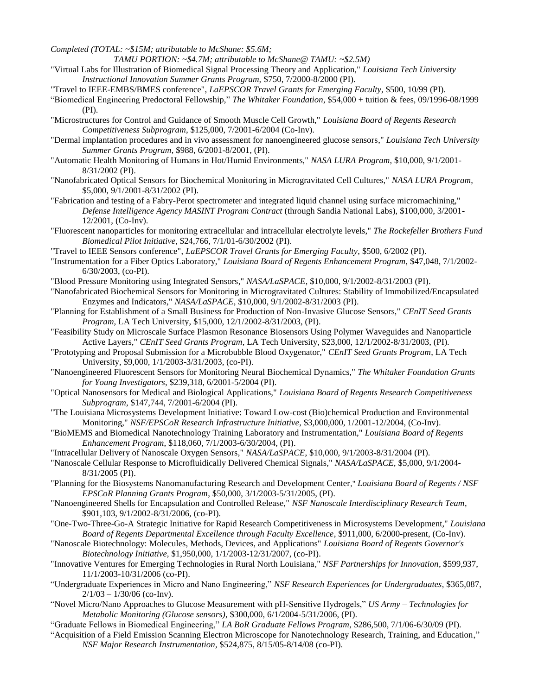*Completed (TOTAL: ~\$15M; attributable to McShane: \$5.6M;*

*TAMU PORTION: ~\$4.7M; attributable to McShane@ TAMU: ~\$2.5M)*

- "Virtual Labs for Illustration of Biomedical Signal Processing Theory and Application," *Louisiana Tech University Instructional Innovation Summer Grants Program,* \$750, 7/2000-8/2000 (PI).
- "Travel to IEEE-EMBS/BMES conference", *LaEPSCOR Travel Grants for Emerging Faculty*, \$500, 10/99 (PI).
- "Biomedical Engineering Predoctoral Fellowship," *The Whitaker Foundation*, \$54,000 + tuition & fees, 09/1996-08/1999 (PI).
- "Microstructures for Control and Guidance of Smooth Muscle Cell Growth," *Louisiana Board of Regents Research Competitiveness Subprogram*, \$125,000, 7/2001-6/2004 (Co-Inv).
- "Dermal implantation procedures and in vivo assessment for nanoengineered glucose sensors," *Louisiana Tech University Summer Grants Program*, \$988, 6/2001-8/2001, (PI).
- "Automatic Health Monitoring of Humans in Hot/Humid Environments," *NASA LURA Program*, \$10,000, 9/1/2001- 8/31/2002 (PI).
- "Nanofabricated Optical Sensors for Biochemical Monitoring in Microgravitated Cell Cultures," *NASA LURA Program*, \$5,000, 9/1/2001-8/31/2002 (PI).
- "Fabrication and testing of a Fabry-Perot spectrometer and integrated liquid channel using surface micromachining," *Defense Intelligence Agency MASINT Program Contract* (through Sandia National Labs), \$100,000, 3/2001- 12/2001, (Co-Inv).
- "Fluorescent nanoparticles for monitoring extracellular and intracellular electrolyte levels," *The Rockefeller Brothers Fund Biomedical Pilot Initiative*, \$24,766, 7/1/01-6/30/2002 (PI).
- "Travel to IEEE Sensors conference", *LaEPSCOR Travel Grants for Emerging Faculty*, \$500, 6/2002 (PI).
- "Instrumentation for a Fiber Optics Laboratory," *Louisiana Board of Regents Enhancement Program*, \$47,048, 7/1/2002- 6/30/2003, (co-PI).
- "Blood Pressure Monitoring using Integrated Sensors," *NASA/LaSPACE*, \$10,000, 9/1/2002-8/31/2003 (PI).
- "Nanofabricated Biochemical Sensors for Monitoring in Microgravitated Cultures: Stability of Immobilized/Encapsulated Enzymes and Indicators," *NASA/LaSPACE*, \$10,000, 9/1/2002-8/31/2003 (PI).
- "Planning for Establishment of a Small Business for Production of Non-Invasive Glucose Sensors," *CEnIT Seed Grants Program*, LA Tech University, \$15,000, 12/1/2002-8/31/2003, (PI).
- "Feasibility Study on Microscale Surface Plasmon Resonance Biosensors Using Polymer Waveguides and Nanoparticle Active Layers," *CEnIT Seed Grants Program*, LA Tech University, \$23,000, 12/1/2002-8/31/2003, (PI).
- "Prototyping and Proposal Submission for a Microbubble Blood Oxygenator," *CEnIT Seed Grants Program*, LA Tech University, \$9,000, 1/1/2003-3/31/2003, (co-PI).
- "Nanoengineered Fluorescent Sensors for Monitoring Neural Biochemical Dynamics," *The Whitaker Foundation Grants for Young Investigators*, \$239,318, 6/2001-5/2004 (PI).
- "Optical Nanosensors for Medical and Biological Applications," *Louisiana Board of Regents Research Competitiveness Subprogram*, \$147,744, 7/2001-6/2004 (PI).
- "The Louisiana Microsystems Development Initiative: Toward Low-cost (Bio)chemical Production and Environmental Monitoring," *NSF/EPSCoR Research Infrastructure Initiative*, \$3,000,000, 1/2001-12/2004, (Co-Inv).
- "BioMEMS and Biomedical Nanotechnology Training Laboratory and Instrumentation," *Louisiana Board of Regents Enhancement Program*, \$118,060, 7/1/2003-6/30/2004, (PI).
- "Intracellular Delivery of Nanoscale Oxygen Sensors," *NASA/LaSPACE*, \$10,000, 9/1/2003-8/31/2004 (PI).
- "Nanoscale Cellular Response to Microfluidically Delivered Chemical Signals," *NASA/LaSPACE*, \$5,000, 9/1/2004- 8/31/2005 (PI).
- "Planning for the Biosystems Nanomanufacturing Research and Development Center," *Louisiana Board of Regents / NSF EPSCoR Planning Grants Program*, \$50,000, 3/1/2003-5/31/2005, (PI).
- "Nanoengineered Shells for Encapsulation and Controlled Release," *NSF Nanoscale Interdisciplinary Research Team*, \$901,103, 9/1/2002-8/31/2006, (co-PI).
- "One-Two-Three-Go-A Strategic Initiative for Rapid Research Competitiveness in Microsystems Development," *Louisiana Board of Regents Departmental Excellence through Faculty Excellence*, \$911,000, 6/2000-present, (Co-Inv).
- "Nanoscale Biotechnology: Molecules, Methods, Devices, and Applications" *Louisiana Board of Regents Governor's Biotechnology Initiative,* \$1,950,000, 1/1/2003-12/31/2007, (co-PI).
- "Innovative Ventures for Emerging Technologies in Rural North Louisiana," *NSF Partnerships for Innovation*, \$599,937, 11/1/2003-10/31/2006 (co-PI).
- "Undergraduate Experiences in Micro and Nano Engineering," *NSF Research Experiences for Undergraduates*, \$365,087,  $2/1/03 - 1/30/06$  (co-Inv).
- "Novel Micro/Nano Approaches to Glucose Measurement with pH-Sensitive Hydrogels," *US Army – Technologies for Metabolic Monitoring (Glucose sensors)*, \$300,000, 6/1/2004-5/31/2006, (PI).
- "Graduate Fellows in Biomedical Engineering," *LA BoR Graduate Fellows Program*, \$286,500, 7/1/06-6/30/09 (PI).
- "Acquisition of a Field Emission Scanning Electron Microscope for Nanotechnology Research, Training, and Education," *NSF Major Research Instrumentation*, \$524,875, 8/15/05-8/14/08 (co-PI).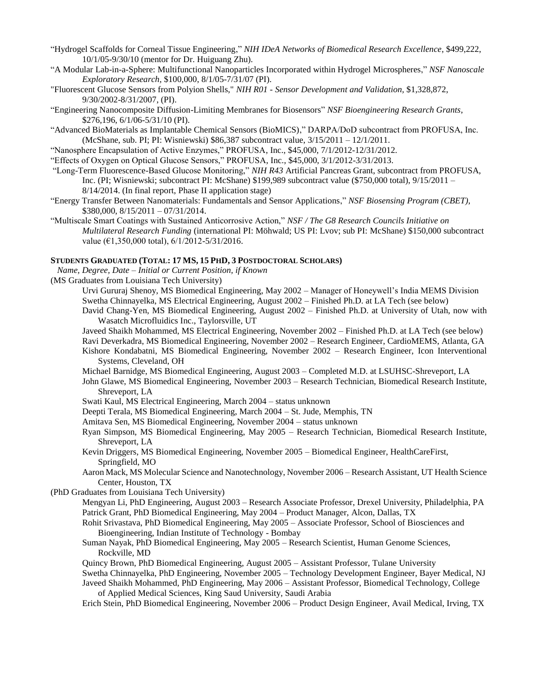- "Hydrogel Scaffolds for Corneal Tissue Engineering," *NIH IDeA Networks of Biomedical Research Excellence*, \$499,222, 10/1/05-9/30/10 (mentor for Dr. Huiguang Zhu).
- "A Modular Lab-in-a-Sphere: Multifunctional Nanoparticles Incorporated within Hydrogel Microspheres," *NSF Nanoscale Exploratory Research*, \$100,000, 8/1/05-7/31/07 (PI).
- "Fluorescent Glucose Sensors from Polyion Shells," *NIH R01 - Sensor Development and Validation,* \$1,328,872, 9/30/2002-8/31/2007, (PI).
- "Engineering Nanocomposite Diffusion-Limiting Membranes for Biosensors" *NSF Bioengineering Research Grants*, \$276,196, 6/1/06-5/31/10 (PI).
- "Advanced BioMaterials as Implantable Chemical Sensors (BioMICS)," DARPA/DoD subcontract from PROFUSA, Inc. (McShane, sub. PI; PI: Wisniewski) \$86,387 subcontract value, 3/15/2011 – 12/1/2011.
- "Nanosphere Encapsulation of Active Enzymes," PROFUSA, Inc., \$45,000, 7/1/2012-12/31/2012.
- "Effects of Oxygen on Optical Glucose Sensors," PROFUSA, Inc., \$45,000, 3/1/2012-3/31/2013.
- "Long-Term Fluorescence-Based Glucose Monitoring," *NIH R43* Artificial Pancreas Grant, subcontract from PROFUSA, Inc. (PI; Wisniewski; subcontract PI: McShane) \$199,989 subcontract value (\$750,000 total), 9/15/2011 – 8/14/2014. (In final report, Phase II application stage)
- "Energy Transfer Between Nanomaterials: Fundamentals and Sensor Applications," *NSF Biosensing Program (CBET)*, \$380,000, 8/15/2011 – 07/31/2014.
- "Multiscale Smart Coatings with Sustained Anticorrosive Action," *NSF / The G8 Research Councils Initiative on Multilateral Research Funding* (international PI: Möhwald; US PI: Lvov; sub PI: McShane) \$150,000 subcontract value ( $\epsilon$ 1,350,000 total),  $6/1/2012 - 5/31/2016$ .

### **STUDENTS GRADUATED (TOTAL: 17 MS, 15 PHD, 3 POSTDOCTORAL SCHOLARS)**

 *Name, Degree, Date – Initial or Current Position, if Known*

(MS Graduates from Louisiana Tech University)

- Urvi Gururaj Shenoy, MS Biomedical Engineering, May 2002 Manager of Honeywell's India MEMS Division Swetha Chinnayelka, MS Electrical Engineering, August 2002 – Finished Ph.D. at LA Tech (see below)
- David Chang-Yen, MS Biomedical Engineering, August 2002 Finished Ph.D. at University of Utah, now with Wasatch Microfluidics Inc., Taylorsville, UT
- Javeed Shaikh Mohammed, MS Electrical Engineering, November 2002 Finished Ph.D. at LA Tech (see below)
- Ravi Deverkadra, MS Biomedical Engineering, November 2002 Research Engineer, CardioMEMS, Atlanta, GA
- Kishore Kondabatni, MS Biomedical Engineering, November 2002 Research Engineer, Icon Interventional Systems, Cleveland, OH
- Michael Barnidge, MS Biomedical Engineering, August 2003 Completed M.D. at LSUHSC-Shreveport, LA
- John Glawe, MS Biomedical Engineering, November 2003 Research Technician, Biomedical Research Institute, Shreveport, LA
- Swati Kaul, MS Electrical Engineering, March 2004 status unknown
- Deepti Terala, MS Biomedical Engineering, March 2004 St. Jude, Memphis, TN
- Amitava Sen, MS Biomedical Engineering, November 2004 status unknown
- Ryan Simpson, MS Biomedical Engineering, May 2005 Research Technician, Biomedical Research Institute, Shreveport, LA
- Kevin Driggers, MS Biomedical Engineering, November 2005 Biomedical Engineer, HealthCareFirst, Springfield, MO
- Aaron Mack, MS Molecular Science and Nanotechnology, November 2006 Research Assistant, UT Health Science Center, Houston, TX
- (PhD Graduates from Louisiana Tech University)
	- Mengyan Li, PhD Engineering, August 2003 Research Associate Professor, Drexel University, Philadelphia, PA Patrick Grant, PhD Biomedical Engineering, May 2004 – Product Manager, Alcon, Dallas, TX
	- Rohit Srivastava, PhD Biomedical Engineering, May 2005 Associate Professor, School of Biosciences and Bioengineering, Indian Institute of Technology - Bombay
	- Suman Nayak, PhD Biomedical Engineering, May 2005 Research Scientist, Human Genome Sciences, Rockville, MD
	- Quincy Brown, PhD Biomedical Engineering, August 2005 Assistant Professor, Tulane University
	- Swetha Chinnayelka, PhD Engineering, November 2005 Technology Development Engineer, Bayer Medical, NJ

Javeed Shaikh Mohammed, PhD Engineering, May 2006 – Assistant Professor, Biomedical Technology, College of Applied Medical Sciences, King Saud University, Saudi Arabia

Erich Stein, PhD Biomedical Engineering, November 2006 – Product Design Engineer, Avail Medical, Irving, TX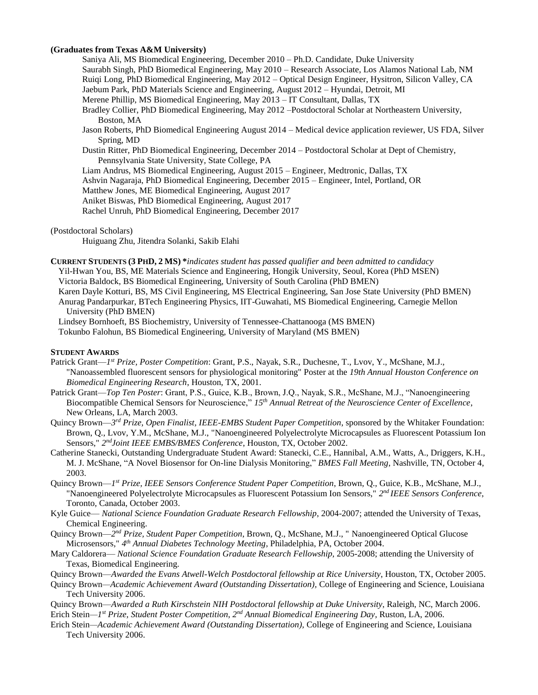# **(Graduates from Texas A&M University)**

Saniya Ali, MS Biomedical Engineering, December 2010 – Ph.D. Candidate, Duke University Saurabh Singh, PhD Biomedical Engineering, May 2010 – Research Associate, Los Alamos National Lab, NM Ruiqi Long, PhD Biomedical Engineering, May 2012 – Optical Design Engineer, Hysitron, Silicon Valley, CA Jaebum Park, PhD Materials Science and Engineering, August 2012 – Hyundai, Detroit, MI Merene Phillip, MS Biomedical Engineering, May 2013 – IT Consultant, Dallas, TX Bradley Collier, PhD Biomedical Engineering, May 2012 –Postdoctoral Scholar at Northeastern University, Boston, MA Jason Roberts, PhD Biomedical Engineering August 2014 – Medical device application reviewer, US FDA, Silver Spring, MD Dustin Ritter, PhD Biomedical Engineering, December 2014 – Postdoctoral Scholar at Dept of Chemistry, Pennsylvania State University, State College, PA Liam Andrus, MS Biomedical Engineering, August 2015 – Engineer, Medtronic, Dallas, TX Ashvin Nagaraja, PhD Biomedical Engineering, December 2015 – Engineer, Intel, Portland, OR Matthew Jones, ME Biomedical Engineering, August 2017 Aniket Biswas, PhD Biomedical Engineering, August 2017

Rachel Unruh, PhD Biomedical Engineering, December 2017

(Postdoctoral Scholars)

Huiguang Zhu, Jitendra Solanki, Sakib Elahi

- **CURRENT STUDENTS (3 PHD, 2 MS) \****indicates student has passed qualifier and been admitted to candidacy* Yil-Hwan You, BS, ME Materials Science and Engineering, Hongik University, Seoul, Korea (PhD MSEN) Victoria Baldock, BS Biomedical Engineering, University of South Carolina (PhD BMEN) Karen Dayle Kotturi, BS, MS Civil Engineering, MS Electrical Engineering, San Jose State University (PhD BMEN)
	- Anurag Pandarpurkar, BTech Engineering Physics, IIT-Guwahati, MS Biomedical Engineering, Carnegie Mellon University (PhD BMEN)
	- Lindsey Bornhoeft, BS Biochemistry, University of Tennessee-Chattanooga (MS BMEN)

Tokunbo Falohun, BS Biomedical Engineering, University of Maryland (MS BMEN)

### **STUDENT AWARDS**

- Patrick Grant—*1 st Prize, Poster Competition*: Grant, P.S., Nayak, S.R., Duchesne, T., Lvov, Y., McShane, M.J., "Nanoassembled fluorescent sensors for physiological monitoring" Poster at the *19th Annual Houston Conference on Biomedical Engineering Research*, Houston, TX, 2001.
- Patrick Grant—*Top Ten Poster*: Grant, P.S., Guice, K.B., Brown, J.Q., Nayak, S.R., McShane, M.J., "Nanoengineering Biocompatible Chemical Sensors for Neuroscience," *15th Annual Retreat of the Neuroscience Center of Excellence*, New Orleans, LA, March 2003.
- Quincy Brown—3<sup>rd</sup> Prize, Open Finalist, IEEE-EMBS Student Paper Competition, sponsored by the Whitaker Foundation: Brown, Q., Lvov, Y.M., McShane, M.J., "Nanoengineered Polyelectrolyte Microcapsules as Fluorescent Potassium Ion Sensors," 2<sup>nd</sup>Joint IEEE EMBS/BMES Conference, Houston, TX, October 2002.
- Catherine Stanecki, Outstanding Undergraduate Student Award: Stanecki, C.E., Hannibal, A.M., Watts, A., Driggers, K.H., M. J. McShane, "A Novel Biosensor for On-line Dialysis Monitoring," *BMES Fall Meeting*, Nashville, TN, October 4, 2003.
- Quincy Brown—*1 st Prize, IEEE Sensors Conference Student Paper Competition*, Brown, Q., Guice, K.B., McShane, M.J., "Nanoengineered Polyelectrolyte Microcapsules as Fluorescent Potassium Ion Sensors," *2 nd IEEE Sensors Conference*, Toronto, Canada, October 2003.
- Kyle Guice— *National Science Foundation Graduate Research Fellowship*, 2004-2007; attended the University of Texas, Chemical Engineering.
- Quincy Brown—2<sup>nd</sup> Prize, Student Paper Competition, Brown, Q., McShane, M.J., " Nanoengineered Optical Glucose Microsensors," *4 th Annual Diabetes Technology Meeting*, Philadelphia, PA, October 2004.
- Mary Caldorera— *National Science Foundation Graduate Research Fellowship*, 2005-2008; attending the University of Texas, Biomedical Engineering.

Quincy Brown—*Awarded the Evans Atwell-Welch Postdoctoral fellowship at Rice University*, Houston, TX, October 2005.

- Quincy Brown*—Academic Achievement Award (Outstanding Dissertation),* College of Engineering and Science, Louisiana Tech University 2006.
- Quincy Brown—*Awarded a Ruth Kirschstein NIH Postdoctoral fellowship at Duke University*, Raleigh, NC, March 2006. Erich Stein*—1 st Prize, Student Poster Competition*, *2 nd Annual Biomedical Engineering Day*, Ruston, LA, 2006.
- Erich Stein*—Academic Achievement Award (Outstanding Dissertation),* College of Engineering and Science, Louisiana Tech University 2006.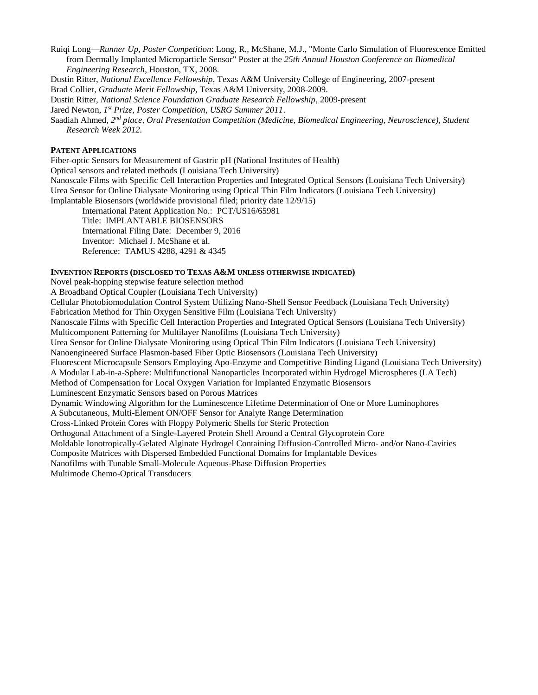Ruiqi Long—*Runner Up, Poster Competition*: Long, R., McShane, M.J., "Monte Carlo Simulation of Fluorescence Emitted from Dermally Implanted Microparticle Sensor" Poster at the *25th Annual Houston Conference on Biomedical Engineering Research*, Houston, TX, 2008.

Dustin Ritter, *National Excellence Fellowship*, Texas A&M University College of Engineering, 2007-present

Brad Collier, *Graduate Merit Fellowship*, Texas A&M University, 2008-2009.

Dustin Ritter, *National Science Foundation Graduate Research Fellowship*, 2009-present

Jared Newton, *1 st Prize, Poster Competition, USRG Summer 2011*.

Saadiah Ahmed, 2<sup>nd</sup> place, Oral Presentation Competition (Medicine, Biomedical Engineering, Neuroscience), Student *Research Week 2012.*

# **PATENT APPLICATIONS**

Fiber-optic Sensors for Measurement of Gastric pH (National Institutes of Health) Optical sensors and related methods (Louisiana Tech University) Nanoscale Films with Specific Cell Interaction Properties and Integrated Optical Sensors (Louisiana Tech University) Urea Sensor for Online Dialysate Monitoring using Optical Thin Film Indicators (Louisiana Tech University) Implantable Biosensors (worldwide provisional filed; priority date 12/9/15)

International Patent Application No.: PCT/US16/65981 Title: IMPLANTABLE BIOSENSORS International Filing Date: December 9, 2016 Inventor: Michael J. McShane et al. Reference: TAMUS 4288, 4291 & 4345

# **INVENTION REPORTS (DISCLOSED TO TEXAS A&M UNLESS OTHERWISE INDICATED)**

Novel peak-hopping stepwise feature selection method A Broadband Optical Coupler (Louisiana Tech University) Cellular Photobiomodulation Control System Utilizing Nano-Shell Sensor Feedback (Louisiana Tech University) Fabrication Method for Thin Oxygen Sensitive Film (Louisiana Tech University) Nanoscale Films with Specific Cell Interaction Properties and Integrated Optical Sensors (Louisiana Tech University) Multicomponent Patterning for Multilayer Nanofilms (Louisiana Tech University) Urea Sensor for Online Dialysate Monitoring using Optical Thin Film Indicators (Louisiana Tech University) Nanoengineered Surface Plasmon-based Fiber Optic Biosensors (Louisiana Tech University) Fluorescent Microcapsule Sensors Employing Apo-Enzyme and Competitive Binding Ligand (Louisiana Tech University) A Modular Lab-in-a-Sphere: Multifunctional Nanoparticles Incorporated within Hydrogel Microspheres (LA Tech) Method of Compensation for Local Oxygen Variation for Implanted Enzymatic Biosensors Luminescent Enzymatic Sensors based on Porous Matrices Dynamic Windowing Algorithm for the Luminescence Lifetime Determination of One or More Luminophores A Subcutaneous, Multi-Element ON/OFF Sensor for Analyte Range Determination Cross-Linked Protein Cores with Floppy Polymeric Shells for Steric Protection Orthogonal Attachment of a Single-Layered Protein Shell Around a Central Glycoprotein Core Moldable Ionotropically-Gelated Alginate Hydrogel Containing Diffusion-Controlled Micro- and/or Nano-Cavities Composite Matrices with Dispersed Embedded Functional Domains for Implantable Devices Nanofilms with Tunable Small-Molecule Aqueous-Phase Diffusion Properties

Multimode Chemo-Optical Transducers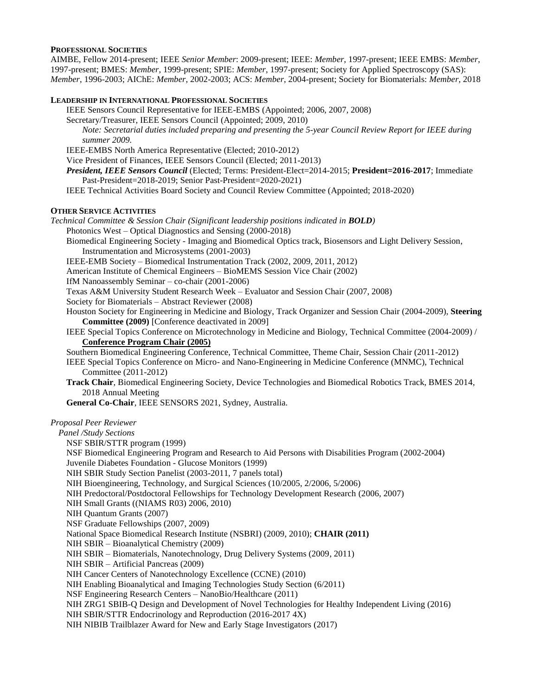### **PROFESSIONAL SOCIETIES**

AIMBE, Fellow 2014-present; IEEE *Senior Member*: 2009-present; IEEE: *Member*, 1997-present; IEEE EMBS: *Member*, 1997-present; BMES: *Member*, 1999-present; SPIE: *Member*, 1997-present; Society for Applied Spectroscopy (SAS): *Member*, 1996-2003; AIChE: *Member*, 2002-2003; ACS: *Member*, 2004-present; Society for Biomaterials: *Member*, 2018

#### **LEADERSHIP IN INTERNATIONAL PROFESSIONAL SOCIETIES**

IEEE Sensors Council Representative for IEEE-EMBS (Appointed; 2006, 2007, 2008)

Secretary/Treasurer, IEEE Sensors Council (Appointed; 2009, 2010)

*Note: Secretarial duties included preparing and presenting the 5-year Council Review Report for IEEE during summer 2009.*

IEEE-EMBS North America Representative (Elected; 2010-2012)

Vice President of Finances, IEEE Sensors Council (Elected; 2011-2013)

*President, IEEE Sensors Council* (Elected; Terms: President-Elect=2014-2015; **President=2016-2017**; Immediate Past-President=2018-2019; Senior Past-President=2020-2021)

IEEE Technical Activities Board Society and Council Review Committee (Appointed; 2018-2020)

#### **OTHER SERVICE ACTIVITIES**

*Technical Committee & Session Chair (Significant leadership positions indicated in BOLD)*

Photonics West – Optical Diagnostics and Sensing (2000-2018)

Biomedical Engineering Society - Imaging and Biomedical Optics track, Biosensors and Light Delivery Session, Instrumentation and Microsystems (2001-2003)

IEEE-EMB Society – Biomedical Instrumentation Track (2002, 2009, 2011, 2012)

American Institute of Chemical Engineers – BioMEMS Session Vice Chair (2002)

IfM Nanoassembly Seminar – co-chair (2001-2006)

Texas A&M University Student Research Week – Evaluator and Session Chair (2007, 2008)

Society for Biomaterials – Abstract Reviewer (2008)

Houston Society for Engineering in Medicine and Biology, Track Organizer and Session Chair (2004-2009), **Steering Committee (2009)** [Conference deactivated in 2009]

IEEE Special Topics Conference on Microtechnology in Medicine and Biology, Technical Committee (2004-2009) / **Conference Program Chair (2005)**

Southern Biomedical Engineering Conference, Technical Committee, Theme Chair, Session Chair (2011-2012)

IEEE Special Topics Conference on Micro- and Nano-Engineering in Medicine Conference (MNMC), Technical Committee (2011-2012)

**Track Chair**, Biomedical Engineering Society, Device Technologies and Biomedical Robotics Track, BMES 2014, 2018 Annual Meeting

**General Co-Chair**, IEEE SENSORS 2021, Sydney, Australia.

#### *Proposal Peer Reviewer*

*Panel /Study Sections*

NSF SBIR/STTR program (1999)

NSF Biomedical Engineering Program and Research to Aid Persons with Disabilities Program (2002-2004) Juvenile Diabetes Foundation - Glucose Monitors (1999)

NIH SBIR Study Section Panelist (2003-2011, 7 panels total)

NIH Bioengineering, Technology, and Surgical Sciences (10/2005, 2/2006, 5/2006)

NIH Predoctoral/Postdoctoral Fellowships for Technology Development Research (2006, 2007)

NIH Small Grants ((NIAMS R03) 2006, 2010)

NIH Quantum Grants (2007)

NSF Graduate Fellowships (2007, 2009)

National Space Biomedical Research Institute (NSBRI) (2009, 2010); **CHAIR (2011)**

NIH SBIR – Bioanalytical Chemistry (2009)

NIH SBIR – Biomaterials, Nanotechnology, Drug Delivery Systems (2009, 2011)

NIH SBIR – Artificial Pancreas (2009)

NIH Cancer Centers of Nanotechnology Excellence (CCNE) (2010)

NIH Enabling Bioanalytical and Imaging Technologies Study Section (6/2011)

NSF Engineering Research Centers – NanoBio/Healthcare (2011)

NIH ZRG1 SBIB-Q Design and Development of Novel Technologies for Healthy Independent Living (2016)

NIH SBIR/STTR Endocrinology and Reproduction (2016-2017 4X)

NIH NIBIB Trailblazer Award for New and Early Stage Investigators (2017)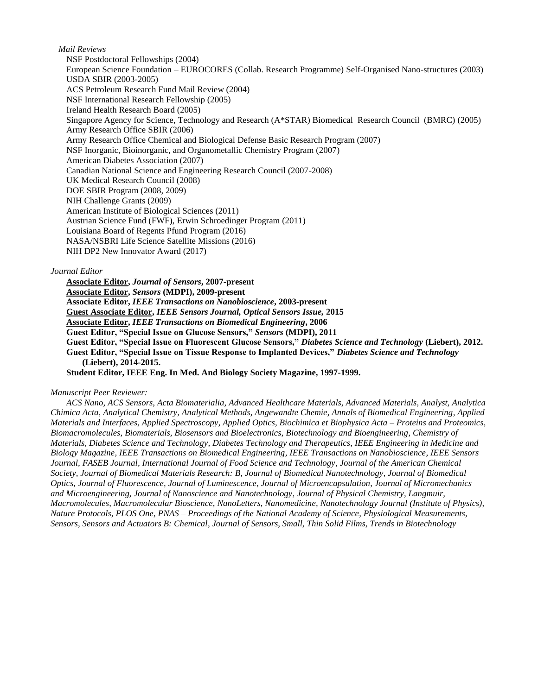### *Mail Reviews*

NSF Postdoctoral Fellowships (2004) European Science Foundation – EUROCORES (Collab. Research Programme) Self-Organised Nano-structures (2003) USDA SBIR (2003-2005) ACS Petroleum Research Fund Mail Review (2004) NSF International Research Fellowship (2005) Ireland Health Research Board (2005) Singapore Agency for Science, Technology and Research (A\*STAR) Biomedical Research Council (BMRC) (2005) Army Research Office SBIR (2006) Army Research Office Chemical and Biological Defense Basic Research Program (2007) NSF Inorganic, Bioinorganic, and Organometallic Chemistry Program (2007) American Diabetes Association (2007) Canadian National Science and Engineering Research Council (2007-2008) UK Medical Research Council (2008) DOE SBIR Program (2008, 2009) NIH Challenge Grants (2009) American Institute of Biological Sciences (2011) Austrian Science Fund (FWF), Erwin Schroedinger Program (2011) Louisiana Board of Regents Pfund Program (2016) NASA/NSBRI Life Science Satellite Missions (2016) NIH DP2 New Innovator Award (2017)

### *Journal Editor*

**Associate Editor,** *Journal of Sensors***, 2007-present Associate Editor,** *Sensors* **(MDPI), 2009-present Associate Editor,** *IEEE Transactions on Nanobioscience***, 2003-present Guest Associate Editor,** *IEEE Sensors Journal, Optical Sensors Issue,* **2015 Associate Editor,** *IEEE Transactions on Biomedical Engineering***, 2006 Guest Editor, "Special Issue on Glucose Sensors,"** *Sensors* **(MDPI), 2011 Guest Editor, "Special Issue on Fluorescent Glucose Sensors,"** *Diabetes Science and Technology* **(Liebert), 2012. Guest Editor, "Special Issue on Tissue Response to Implanted Devices,"** *Diabetes Science and Technology*  **(Liebert), 2014-2015. Student Editor, IEEE Eng. In Med. And Biology Society Magazine, 1997-1999.**

# *Manuscript Peer Reviewer:*

*ACS Nano, ACS Sensors, Acta Biomaterialia, Advanced Healthcare Materials, Advanced Materials, Analyst, Analytica Chimica Acta, Analytical Chemistry, Analytical Methods, Angewandte Chemie, Annals of Biomedical Engineering, Applied Materials and Interfaces, Applied Spectroscopy, Applied Optics, Biochimica et Biophysica Acta – Proteins and Proteomics, Biomacromolecules, Biomaterials, Biosensors and Bioelectronics, Biotechnology and Bioengineering, Chemistry of Materials, Diabetes Science and Technology, Diabetes Technology and Therapeutics, IEEE Engineering in Medicine and Biology Magazine, IEEE Transactions on Biomedical Engineering, IEEE Transactions on Nanobioscience, IEEE Sensors Journal, FASEB Journal, International Journal of Food Science and Technology, Journal of the American Chemical Society, Journal of Biomedical Materials Research: B, Journal of Biomedical Nanotechnology, Journal of Biomedical Optics, Journal of Fluorescence, Journal of Luminescence, Journal of Microencapsulation, Journal of Micromechanics and Microengineering, Journal of Nanoscience and Nanotechnology, Journal of Physical Chemistry, Langmuir, Macromolecules, Macromolecular Bioscience, NanoLetters, Nanomedicine, Nanotechnology Journal (Institute of Physics), Nature Protocols, PLOS One, PNAS – Proceedings of the National Academy of Science, Physiological Measurements, Sensors, Sensors and Actuators B: Chemical, Journal of Sensors, Small, Thin Solid Films, Trends in Biotechnology*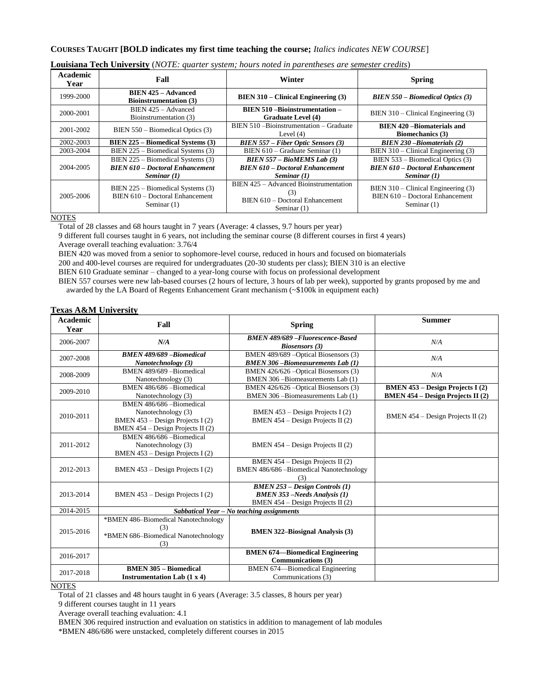# **COURSES TAUGHT [BOLD indicates my first time teaching the course;** *Italics indicates NEW COURSE*]

| Academic<br>Year | Fall                                                                                         | Winter                                                                                            | <b>Spring</b>                                                                               |
|------------------|----------------------------------------------------------------------------------------------|---------------------------------------------------------------------------------------------------|---------------------------------------------------------------------------------------------|
| 1999-2000        | <b>BIEN 425 - Advanced</b><br><b>Bioinstrumentation (3)</b>                                  | $BIEN 310 - Clinical Engineering (3)$                                                             | $B I E N 550 - Biomedical Optics (3)$                                                       |
| 2000-2001        | BIEN 425 - Advanced<br>Bioinstrumentation (3)                                                | <b>BIEN 510 -Bioinstrumentation -</b><br><b>Graduate Level (4)</b>                                | BIEN $310$ – Clinical Engineering (3)                                                       |
| 2001-2002        | BIEN 550 – Biomedical Optics (3)                                                             | BIEN 510 - Bioinstrumentation - Graduate<br>Level $(4)$                                           | <b>BIEN 420 - Biomaterials and</b><br><b>Biomechanics</b> (3)                               |
| 2002-2003        | <b>BIEN 225 – Biomedical Systems (3)</b>                                                     | $B I E N 557 - Fiber Optic Sensors (3)$                                                           | $B I E N 230 - Biomatic trials (2)$                                                         |
| 2003-2004        | BIEN 225 – Biomedical Systems (3)                                                            | BIEN 610 – Graduate Seminar (1)                                                                   | $B I EN 310 - Clinical Engineering (3)$                                                     |
| 2004-2005        | BIEN 225 – Biomedical Systems (3)<br><b>BIEN 610 – Doctoral Enhancement</b><br>Seminar $(1)$ | $BIENT 557 - BioMEMS Lab (3)$<br><b>BIEN 610 – Doctoral Enhancement</b><br>Seminar $(1)$          | BIEN 533 – Biomedical Optics (3)<br><b>BIEN 610 - Doctoral Enhancement</b><br>Seminar $(1)$ |
| 2005-2006        | BIEN 225 – Biomedical Systems (3)<br>BIEN 610 - Doctoral Enhancement<br>Seminar (1)          | BIEN 425 - Advanced Bioinstrumentation<br>(3)<br>BIEN 610 - Doctoral Enhancement<br>Seminar $(1)$ | BIEN 310 - Clinical Engineering (3)<br>BIEN 610 - Doctoral Enhancement<br>Seminar (1)       |

### **Louisiana Tech University** (*NOTE: quarter system; hours noted in parentheses are semester credits*)

**NOTES** 

Total of 28 classes and 68 hours taught in 7 years (Average: 4 classes, 9.7 hours per year)

9 different full courses taught in 6 years, not including the seminar course (8 different courses in first 4 years) Average overall teaching evaluation: 3.76/4

BIEN 420 was moved from a senior to sophomore-level course, reduced in hours and focused on biomaterials

200 and 400-level courses are required for undergraduates (20-30 students per class); BIEN 310 is an elective

BIEN 610 Graduate seminar – changed to a year-long course with focus on professional development

BIEN 557 courses were new lab-based courses (2 hours of lecture, 3 hours of lab per week), supported by grants proposed by me and awarded by the LA Board of Regents Enhancement Grant mechanism (~\$100k in equipment each)

### **Texas A&M University**

| <b>Academic</b><br>Year | Fall                                                                                                                    | <b>Spring</b>                                                                                                         | <b>Summer</b>                                                                       |
|-------------------------|-------------------------------------------------------------------------------------------------------------------------|-----------------------------------------------------------------------------------------------------------------------|-------------------------------------------------------------------------------------|
| 2006-2007               | N/A                                                                                                                     | <b>BMEN 489/689 - Fluorescence-Based</b><br><b>Biosensors</b> (3)                                                     | N/A                                                                                 |
| 2007-2008               | <b>BMEN 489/689 - Biomedical</b><br>Nanotechnology (3)                                                                  | BMEN 489/689 - Optical Biosensors (3)<br><b>BMEN 306-Biomeasurements Lab (1)</b>                                      | N/A                                                                                 |
| 2008-2009               | BMEN 489/689 - Biomedical<br>Nanotechnology (3)                                                                         | BMEN 426/626 - Optical Biosensors (3)<br>BMEN 306 - Biomeasurements Lab (1)                                           | N/A                                                                                 |
| 2009-2010               | BMEN 486/686 - Biomedical<br>Nanotechnology (3)                                                                         | BMEN 426/626 - Optical Biosensors (3)<br>BMEN 306-Biomeasurements Lab (1)                                             | <b>BMEN 453 – Design Projects I (2)</b><br><b>BMEN 454 – Design Projects II (2)</b> |
| 2010-2011               | BMEN 486/686 -Biomedical<br>Nanotechnology (3)<br>BMEN 453 – Design Projects I (2)<br>BMEN 454 - Design Projects II (2) | BMEN $453 - Design Projects I(2)$<br>BMEN $454 - Design Projects II (2)$                                              | BMEN $454 - Design Projects II (2)$                                                 |
| 2011-2012               | BMEN 486/686 - Biomedical<br>Nanotechnology (3)<br>BMEN 453 - Design Projects I (2)                                     | BMEN $454 - Design Projects II (2)$                                                                                   |                                                                                     |
| 2012-2013               | BMEN $453 - Design Projects I(2)$                                                                                       | BMEN $454 - Design Projects II (2)$<br>BMEN 486/686 - Biomedical Nanotechnology<br>(3)                                |                                                                                     |
| 2013-2014               | BMEN 453 – Design Projects I (2)                                                                                        | $B\tilde{B}MEN$ 253 – Design Controls (1)<br><b>BMEN 353</b> -Needs Analysis (1)<br>BMEN 454 - Design Projects II (2) |                                                                                     |
| 2014-2015               | Sabbatical Year - No teaching assignments                                                                               |                                                                                                                       |                                                                                     |
| 2015-2016               | *BMEN 486-Biomedical Nanotechnology<br>(3)<br>*BMEN 686-Biomedical Nanotechnology<br>(3)                                | <b>BMEN 322–Biosignal Analysis (3)</b>                                                                                |                                                                                     |
| 2016-2017               |                                                                                                                         | <b>BMEN 674-Biomedical Engineering</b><br>Communications (3)                                                          |                                                                                     |
| 2017-2018               | <b>BMEN 305 - Biomedical</b><br>Instrumentation Lab $(1 x 4)$                                                           | BMEN 674-Biomedical Engineering<br>Communications (3)                                                                 |                                                                                     |

#### NOTES

Total of 21 classes and 48 hours taught in 6 years (Average: 3.5 classes, 8 hours per year)

9 different courses taught in 11 years

Average overall teaching evaluation: 4.1

BMEN 306 required instruction and evaluation on statistics in addition to management of lab modules

\*BMEN 486/686 were unstacked, completely different courses in 2015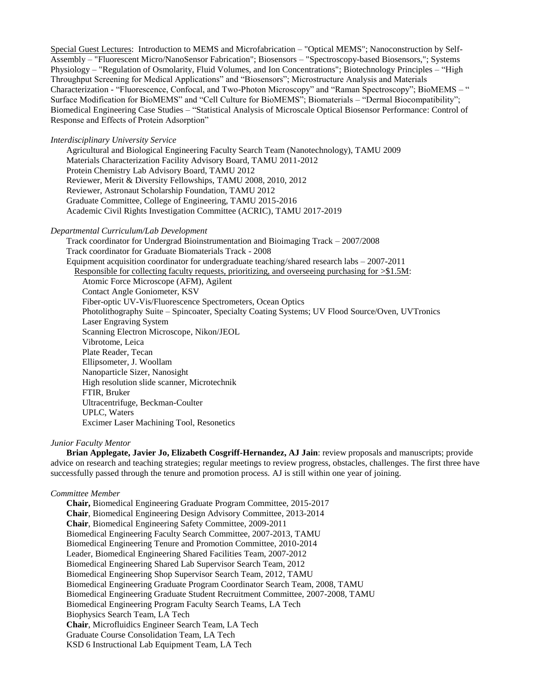Special Guest Lectures: Introduction to MEMS and Microfabrication – "Optical MEMS"; Nanoconstruction by Self-Assembly – "Fluorescent Micro/NanoSensor Fabrication"; Biosensors – "Spectroscopy-based Biosensors,"; Systems Physiology – "Regulation of Osmolarity, Fluid Volumes, and Ion Concentrations"; Biotechnology Principles – "High Throughput Screening for Medical Applications" and "Biosensors"; Microstructure Analysis and Materials Characterization - "Fluorescence, Confocal, and Two-Photon Microscopy" and "Raman Spectroscopy"; BioMEMS – " Surface Modification for BioMEMS" and "Cell Culture for BioMEMS"; Biomaterials – "Dermal Biocompatibility"; Biomedical Engineering Case Studies – "Statistical Analysis of Microscale Optical Biosensor Performance: Control of Response and Effects of Protein Adsorption"

#### *Interdisciplinary University Service*

Agricultural and Biological Engineering Faculty Search Team (Nanotechnology), TAMU 2009 Materials Characterization Facility Advisory Board, TAMU 2011-2012 Protein Chemistry Lab Advisory Board, TAMU 2012 Reviewer, Merit & Diversity Fellowships, TAMU 2008, 2010, 2012 Reviewer, Astronaut Scholarship Foundation, TAMU 2012 Graduate Committee, College of Engineering, TAMU 2015-2016 Academic Civil Rights Investigation Committee (ACRIC), TAMU 2017-2019

#### *Departmental Curriculum/Lab Development*

Track coordinator for Undergrad Bioinstrumentation and Bioimaging Track – 2007/2008 Track coordinator for Graduate Biomaterials Track - 2008 Equipment acquisition coordinator for undergraduate teaching/shared research labs – 2007-2011 Responsible for collecting faculty requests, prioritizing, and overseeing purchasing for >\$1.5M: Atomic Force Microscope (AFM), Agilent Contact Angle Goniometer, KSV Fiber-optic UV-Vis/Fluorescence Spectrometers, Ocean Optics Photolithography Suite – Spincoater, Specialty Coating Systems; UV Flood Source/Oven, UVTronics Laser Engraving System Scanning Electron Microscope, Nikon/JEOL Vibrotome, Leica Plate Reader, Tecan Ellipsometer, J. Woollam Nanoparticle Sizer, Nanosight High resolution slide scanner, Microtechnik FTIR, Bruker Ultracentrifuge, Beckman-Coulter UPLC, Waters Excimer Laser Machining Tool, Resonetics

#### *Junior Faculty Mentor*

**Brian Applegate, Javier Jo, Elizabeth Cosgriff-Hernandez, AJ Jain**: review proposals and manuscripts; provide advice on research and teaching strategies; regular meetings to review progress, obstacles, challenges. The first three have successfully passed through the tenure and promotion process. AJ is still within one year of joining.

### *Committee Member*

**Chair,** Biomedical Engineering Graduate Program Committee, 2015-2017 **Chair**, Biomedical Engineering Design Advisory Committee, 2013-2014 **Chair**, Biomedical Engineering Safety Committee, 2009-2011 Biomedical Engineering Faculty Search Committee, 2007-2013, TAMU Biomedical Engineering Tenure and Promotion Committee, 2010-2014 Leader, Biomedical Engineering Shared Facilities Team, 2007-2012 Biomedical Engineering Shared Lab Supervisor Search Team, 2012 Biomedical Engineering Shop Supervisor Search Team, 2012, TAMU Biomedical Engineering Graduate Program Coordinator Search Team, 2008, TAMU Biomedical Engineering Graduate Student Recruitment Committee, 2007-2008, TAMU Biomedical Engineering Program Faculty Search Teams, LA Tech Biophysics Search Team, LA Tech **Chair**, Microfluidics Engineer Search Team, LA Tech Graduate Course Consolidation Team, LA Tech KSD 6 Instructional Lab Equipment Team, LA Tech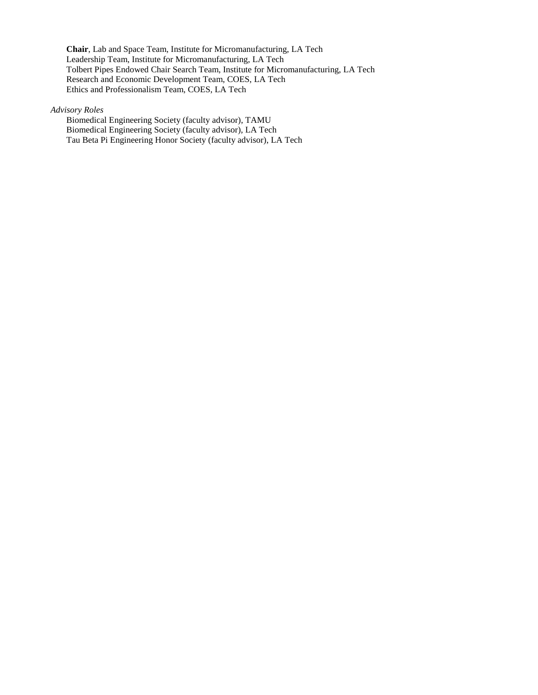**Chair**, Lab and Space Team, Institute for Micromanufacturing, LA Tech Leadership Team, Institute for Micromanufacturing, LA Tech Tolbert Pipes Endowed Chair Search Team, Institute for Micromanufacturing, LA Tech Research and Economic Development Team, COES, LA Tech Ethics and Professionalism Team, COES, LA Tech

*Advisory Roles*

Biomedical Engineering Society (faculty advisor), TAMU Biomedical Engineering Society (faculty advisor), LA Tech Tau Beta Pi Engineering Honor Society (faculty advisor), LA Tech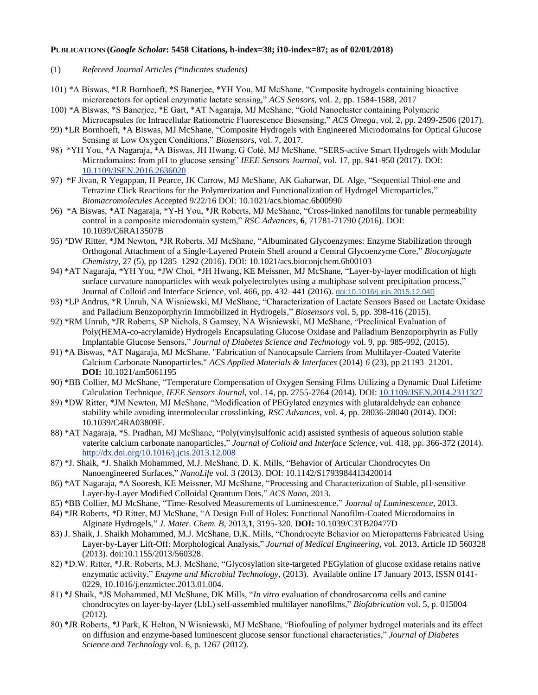### **PUBLICATIONS (***Google Scholar***: 5458 Citations, h-index=38; i10-index=87; as of 02/01/2018)**

(1) *Refereed Journal Articles (\*indicates students)*

- 101) \*A Biswas, \*LR Bornhoeft, \*S Banerjee, \*YH You, MJ McShane, "Composite hydrogels containing bioactive microreactors for optical enzymatic lactate sensing," *ACS Sensors,* vol. 2, pp. 1584-1588, 2017
- 100) \*A Biswas, \*S Banerjee, \*E Gart, \*AT Nagaraja, MJ McShane, "Gold Nanocluster containing Polymeric Microcapsules for Intracellular Ratiometric Fluorescence Biosensing," *ACS Omega*, vol. 2, pp. 2499-2506 (2017).
- 99) \*LR Bornhoeft, \*A Biswas, MJ McShane, "Composite Hydrogels with Engineered Microdomains for Optical Glucose Sensing at Low Oxygen Conditions," *Biosensors*, vol. 7, 2017.
- 98) \*YH You, \*A Nagaraja, \*A Biswas, JH Hwang, G Coté, MJ McShane, "SERS-active Smart Hydrogels with Modular Microdomains: from pH to glucose sensing" *IEEE Sensors Journal*, vol. 17, pp. 941-950 (2017). DOI: [10.1109/JSEN.2016.2636020](https://doi.org/10.1109/JSEN.2016.2636020)
- 97) \*F Jivan, R Yegappan, H Pearce, JK Carrow, MJ McShane, AK Gaharwar, DL Alge, "Sequential Thiol-ene and Tetrazine Click Reactions for the Polymerization and Functionalization of Hydrogel Microparticles," *Biomacromolecules* Accepted 9/22/16 DOI: 10.1021/acs.biomac.6b00990
- 96) \*A Biswas, \*AT Nagaraja, \*Y-H You, \*JR Roberts, MJ McShane, "Cross-linked nanofilms for tunable permeability control in a composite microdomain system," *RSC Advances*, **6**, 71781-71790 (2016). DOI: 10.1039/C6RA13507B
- 95) \*DW Ritter, \*JM Newton, \*JR Roberts, MJ McShane, "Albuminated Glycoenzymes: Enzyme Stabilization through Orthogonal Attachment of a Single-Layered Protein Shell around a Central Glycoenzyme Core," *Bioconjugate Chemistry*, 27 (5), pp 1285–1292 (2016). DOI: 10.1021/acs.bioconjchem.6b00103
- 94) \*AT Nagaraja, \*YH You, \*JW Choi, \*JH Hwang, KE Meissner, MJ McShane, "Layer-by-layer modification of high surface curvature nanoparticles with weak polyelectrolytes using a multiphase solvent precipitation process," Journal of Colloid and Interface Science, vol. 466, pp. 432–441 (2016). [doi:10.1016/j.jcis.2015.12.040](http://dx.doi.org/10.1016/j.jcis.2015.12.040)
- 93) \*LP Andrus, \*R Unruh, NA Wisniewski, MJ McShane, "Characterization of Lactate Sensors Based on Lactate Oxidase and Palladium Benzoporphyrin Immobilized in Hydrogels," *Biosensors* vol. 5, pp. 398-416 (2015).
- 92) \*RM Unruh, \*JR Roberts, SP Nichols, S Gamsey, NA Wisniewski, MJ McShane, "Preclinical Evaluation of Poly(HEMA-co-acrylamide) Hydrogels Encapsulating Glucose Oxidase and Palladium Benzoporphyrin as Fully Implantable Glucose Sensors," *Journal of Diabetes Science and Technology* vol. 9, pp. 985-992, (2015).
- 91) \*A Biswas, \*AT Nagaraja, MJ McShane. "Fabrication of Nanocapsule Carriers from Multilayer-Coated Vaterite Calcium Carbonate Nanoparticles." *ACS Applied Materials & Interfaces* (2014) *6* (23), pp 21193–21201. **DOI:** 10.1021/am5061195
- 90) \*BB Collier, MJ McShane, "Temperature Compensation of Oxygen Sensing Films Utilizing a Dynamic Dual Lifetime Calculation Technique, *IEEE Sensors Journal*, vol. 14, pp. 2755-2764 (2014). DOI[: 10.1109/JSEN.2014.2311327](http://dx.doi.org/10.1109/JSEN.2014.2311327)
- 89) \*DW Ritter, \*JM Newton, MJ McShane, "Modification of PEGylated enzymes with glutaraldehyde can enhance stability while avoiding intermolecular crosslinking, *RSC Advances*, vol. 4, pp. 28036-28040 (2014). DOI: 10.1039/C4RA03809F.
- 88) \*AT Nagaraja, \*S. Pradhan, MJ McShane, "Poly(vinylsulfonic acid) assisted synthesis of aqueous solution stable vaterite calcium carbonate nanoparticles," *Journal of Colloid and Interface Science,* vol. 418, pp. 366-372 (2014). <http://dx.doi.org/10.1016/j.jcis.2013.12.008>
- 87) \*J. Shaik, \*J. Shaikh Mohammed, M.J. McShane, D. K. Mills, "Behavior of Articular Chondrocytes On Nanoengineered Surfaces," *NanoLife* vol. 3 (2013). DOI: 10.1142/S1793984413420014
- 86) \*AT Nagaraja, \*A Sooresh, KE Meissner, MJ McShane, ["Processing and Characterization of Stable, pH-sensitive](http://scholar.google.com/scholar?oi=bibs&hl=en&cluster=8699357792625022466&btnI=Lucky)  [Layer-by-Layer Modified Colloidal Quantum Dots,"](http://scholar.google.com/scholar?oi=bibs&hl=en&cluster=8699357792625022466&btnI=Lucky) *ACS Nano*, 2013.
- 85) \*BB Collier, MJ McShane, "Time-Resolved [Measurements of Luminescence,](http://scholar.google.com/scholar?oi=bibs&hl=en&cluster=7752365099617241420&btnI=Lucky)" *Journal of Luminescence*, 2013.
- 84) \*JR Roberts, \*D Ritter, MJ McShane, ["A Design Full of Holes: Functional Nanofilm-Coated](http://scholar.google.com/scholar?oi=bibs&hl=en&cluster=459094826785274908&btnI=Lucky) Microdomains in [Alginate Hydrogels,](http://scholar.google.com/scholar?oi=bibs&hl=en&cluster=459094826785274908&btnI=Lucky)" *J. Mater. Chem. B*, 2013,**1**, 3195-320. **DOI:** 10.1039/C3TB20477D
- 83) J. Shaik, J. Shaikh Mohammed, M.J. McShane, D.K. Mills, "Chondrocyte Behavior on Micropatterns Fabricated Using Layer-by-Layer Lift-Off: Morphological Analysis," *Journal of Medical Engineering*, vol. 2013, Article ID 560328 (2013). doi:10.1155/2013/560328.
- 82) \*D.W. Ritter, \*J.R. Roberts, M.J. McShane, "Glycosylation site-targeted PEGylation of glucose oxidase retains native enzymatic activity," *Enzyme and Microbial Technology*, (2013). Available online 17 January 2013, ISSN 0141- 0229, 10.1016/j.enzmictec.2013.01.004.
- 81) \*J Shaik, \*JS Mohammed, MJ McShane, DK Mills, "*In vitro* evaluation of chondrosarcoma cells and canine chondrocytes on layer-by-layer (LbL) self-assembled multilayer nanofilms," *Biofabrication* vol. 5, p. 015004 (2012).
- 80) \*JR Roberts, \*J Park, K Helton, N Wisniewski, MJ McShane, "Biofouling of polymer hydrogel materials and its effect on diffusion and enzyme-based luminescent glucose sensor functional characteristics," *Journal of Diabetes Science and Technology* vol. 6, p. 1267 (2012).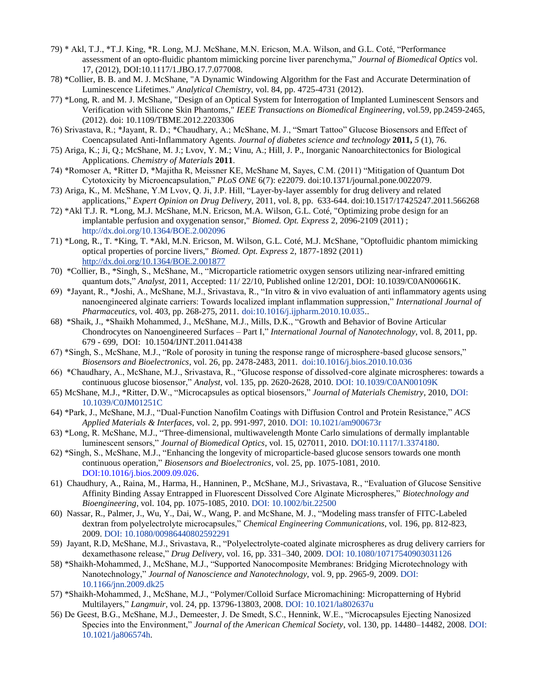- 79) \* Akl, T.J., \*T.J. King, \*R. Long, M.J. McShane, M.N. Ericson, M.A. Wilson, and G.L. Coté, "Performance assessment of an opto-fluidic phantom mimicking porcine liver parenchyma," *Journal of Biomedical Optics* vol. 17, (2012), DOI:10.1117/1.JBO.17.7.077008.
- 78) \*Collier, B. B. and M. J. McShane, "A Dynamic Windowing Algorithm for the Fast and Accurate Determination of Luminescence Lifetimes." *Analytical Chemistry*, vol. 84, pp. 4725-4731 (2012).
- 77) \*Long, R. and M. J. McShane, "Design of an Optical System for Interrogation of Implanted Luminescent Sensors and Verification with Silicone Skin Phantoms," *IEEE Transactions on Biomedical Engineering*, vol.59, pp.2459-2465, (2012). doi: 10.1109/TBME.2012.2203306
- 76) Srivastava, R.; \*Jayant, R. D.; \*Chaudhary, A.; McShane, M. J., "Smart Tattoo" Glucose Biosensors and Effect of Coencapsulated Anti-Inflammatory Agents. *Journal of diabetes science and technology* **2011,** *5* (1), 76.
- 75) Ariga, K.; Ji, Q.; McShane, M. J.; Lvov, Y. M.; Vinu, A.; Hill, J. P., Inorganic Nanoarchitectonics for Biological Applications. *Chemistry of Materials* **2011**.
- 74) \*Romoser A, \*Ritter D, \*Majitha R, Meissner KE, McShane M, Sayes, C.M. (2011) "Mitigation of Quantum Dot Cytotoxicity by Microencapsulation," *PLoS ONE* 6(7): e22079. doi:10.1371/journal.pone.0022079.
- 73) Ariga, K., M. McShane, Y.M Lvov, Q. Ji, J.P. Hill, ["Layer-by-layer assembly for drug delivery and related](http://informahealthcare.com/doi/abs/10.1517/17425247.2011.566268)  [applications,](http://informahealthcare.com/doi/abs/10.1517/17425247.2011.566268)" *Expert Opinion on Drug Delivery,* 2011, vol. 8, pp. 633-644. doi:10.1517/17425247.2011.566268
- 72) \*Akl T.J. R. \*Long, M.J. McShane, M.N. Ericson, M.A. Wilson, G.L. Coté, "Optimizing probe design for an implantable perfusion and oxygenation sensor," *Biomed. Opt. Express* 2, 2096-2109 (2011) ; <http://dx.doi.org/10.1364/BOE.2.002096>
- 71) \*Long, R., T. \*King, T. \*Akl, M.N. Ericson, M. Wilson, G.L. Coté, M.J. McShane, "Optofluidic phantom mimicking optical properties of porcine livers," *Biomed. Opt. Express* 2, 1877-1892 (2011) <http://dx.doi.org/10.1364/BOE.2.001877>
- 70) \*Collier, B., \*Singh, S., McShane, M., "Microparticle ratiometric oxygen sensors utilizing near-infrared emitting quantum dots," *Analyst*, 2011, Accepted: 11/ 22/10, Published online 12/201, DOI: 10.1039/C0AN00661K.
- 69) \*Jayant, R., \*Joshi, A., McShane, M.J., Srivastava, R., "In vitro & in vivo evaluation of anti inflammatory agents using nanoengineered alginate carriers: Towards localized implant inflammation suppression," *International Journal of Pharmaceutics,* vol. 403, pp. 268-275, 2011. [doi:10.1016/j.ijpharm.2010.10.035.](http://dx.doi.org/10.1016/j.ijpharm.2010.10.035).
- 68) \*Shaik, J., \*Shaikh Mohammed, J., McShane, M.J., Mills, D.K., "Growth and Behavior of Bovine Articular Chondrocytes on Nanoengineered Surfaces – Part I," *International Journal of Nanotechnology*, vol. 8, 2011, pp. 679 - 699, DOI: 10.1504/IJNT.2011.041438
- 67) \*Singh, S., McShane, M.J., "Role of porosity in tuning the response range of microsphere-based glucose sensors," *Biosensors and Bioelectronics*, vol. 26, pp. 2478-2483, 2011. [doi:10.1016/j.bios.2010.10.036](http://dx.doi.org/10.1016/j.bios.2010.10.036)
- 66) \*Chaudhary, A., McShane, M.J., Srivastava, R., "Glucose response of dissolved-core alginate microspheres: towards a continuous glucose biosensor," *Analyst*, vol. 135, pp. 2620-2628, 2010. [DOI: 10.1039/C0AN00109K](http://dx.doi.org/10.1039/C0AN00109K)
- 65) McShane, M.J., \*Ritter, D.W., "Microcapsules as optical biosensors," *Journal of Materials Chemistry*, 2010[, DOI:](http://dx.doi.org/10.1039/C0JM01251C)  [10.1039/C0JM01251C](http://dx.doi.org/10.1039/C0JM01251C)
- 64) \*Park, J., McShane, M.J., "Dual-Function Nanofilm Coatings with Diffusion Control and Protein Resistance," *ACS Applied Materials & Interfaces,* vol. 2, pp. 991-997, 2010. [DOI: 10.1021/am900673r](http://dx.doi.org/10.1021/am900673r)
- 63) \*Long, R. McShane, M.J., "Three-dimensional, multiwavelength Monte Carlo simulations of dermally implantable luminescent sensors," *Journal of Biomedical Optics*, vol. 15, 027011, 2010. [DOI:10.1117/1.3374180.](http://dx.doi.org/10.1117/1.3374180)
- 62) \*Singh, S., McShane, M.J., "Enhancing the longevity of microparticle-based glucose sensors towards one month continuous operation," *Biosensors and Bioelectronics*, vol. 25, pp. 1075-1081, 2010. [DOI:10.1016/j.bios.2009.09.026.](http://dx.doi.org/10.1016/j.bios.2009.09.026)
- 61) Chaudhury, A., Raina, M., Harma, H., Hanninen, P., McShane, M.J., Srivastava, R., "Evaluation of Glucose Sensitive Affinity Binding Assay Entrapped in Fluorescent Dissolved Core Alginate Microspheres," *Biotechnology and Bioengineering*, vol. 104, pp. 1075-1085, 2010. [DOI: 10.1002/bit.22500](http://dx.doi.org/10.1002/bit.22500)
- 60) Nassar, R., Palmer, J., Wu, Y., Dai, W., Wang, P. and McShane, M. J., "Modeling mass transfer of FITC-Labeled dextran from polyelectrolyte microcapsules," *Chemical Engineering Communications*, vol. 196, pp. 812-823, 2009[. DOI: 10.1080/00986440802592291](http://dx.doi.org/10.1080/00986440802592291)
- 59) Jayant, R.D, McShane, M.J., Srivastava, R., "Polyelectrolyte-coated alginate microspheres as drug delivery carriers for dexamethasone release," *Drug Delivery*, vol. 16, pp. 331–340, 2009. DOI: [10.1080/10717540903031126](http://dx.doi.org/10.1080/10717540903031126)
- 58) \*Shaikh-Mohammed, J., McShane, M.J., "Supported Nanocomposite Membranes: Bridging Microtechnology with Nanotechnology," *Journal of Nanoscience and Nanotechnology,* vol. 9, pp. 2965-9, 2009. [DOI:](http://dx.doi.org/10.1166/jnn.2009.dk25)  [10.1166/jnn.2009.dk25](http://dx.doi.org/10.1166/jnn.2009.dk25)
- 57) \*Shaikh-Mohammed, J., McShane, M.J., "Polymer/Colloid Surface Micromachining: Micropatterning of Hybrid Multilayers," *Langmuir,* vol. 24, pp. 13796-13803, 2008. [DOI: 10.1021/la802637u](http://dx.doi.org/10.1021/la802637u)
- 56) De Geest, B.G., McShane, M.J., Demeester, J. De Smedt, S.C., Hennink, W.E., "Microcapsules Ejecting Nanosized Species into the Environment," *Journal of the American Chemical Society*, vol. 130, pp. 14480–14482, 2008[. DOI:](http://dx.doi.org/10.1021/ja806574h)  [10.1021/ja806574h.](http://dx.doi.org/10.1021/ja806574h)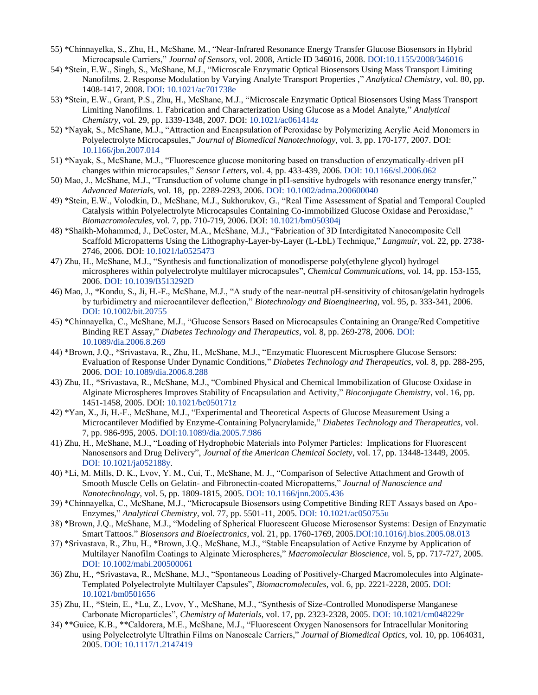- 55) \*Chinnayelka, S., Zhu, H., McShane, M., "Near-Infrared Resonance Energy Transfer Glucose Biosensors in Hybrid Microcapsule Carriers," *Journal of Sensors*, vol. 2008, Article ID 346016, 2008. [DOI:10.1155/2008/346016](http://dx.doi.org/10.1155/2008/346016)
- 54) \*Stein, E.W., Singh, S., McShane, M.J., "Microscale Enzymatic Optical Biosensors Using Mass Transport Limiting Nanofilms. 2. Response Modulation by Varying Analyte Transport Properties ," *Analytical Chemistry*, vol. 80, pp. 1408-1417, 2008. [DOI: 10.1021/ac701738e](http://dx.doi.org/10.1021/ac701738e)
- 53) \*Stein, E.W., Grant, P.S., Zhu, H., McShane, M.J., "Microscale Enzymatic Optical Biosensors Using Mass Transport Limiting Nanofilms. 1. Fabrication and Characterization Using Glucose as a Model Analyte," *Analytical Chemistry*, vol. 29, pp. 1339-1348, 2007. DOI: [10.1021/ac061414z](http://dx.doi.org/10.1021/ac061414z)
- 52) \*Nayak, S., McShane, M.J., "Attraction and Encapsulation of Peroxidase by Polymerizing Acrylic Acid Monomers in Polyelectrolyte Microcapsules," *Journal of Biomedical Nanotechnology*, vol. 3, pp. 170-177, 2007. DOI: [10.1166/jbn.2007.014](http://dx.doi.org/10.1166/jbn.2007.014)
- 51) \*Nayak, S., McShane, M.J., "Fluorescence glucose monitoring based on transduction of enzymatically-driven pH changes within microcapsules," *Sensor Letters*, vol. 4, pp. 433-439, 2006[. DOI: 10.1166/sl.2006.062](http://dx.doi.org/10.1166/sl.2006.062)
- 50) Mao, J., McShane, M.J., "Transduction of volume change in pH-sensitive hydrogels with resonance energy transfer," *Advanced Materials*, vol. 18, pp. 2289-2293, 2006. [DOI: 10.1002/adma.200600040](http://dx.doi.org/10.1002/adma.200600040)
- 49) \*Stein, E.W., Volodkin, D., McShane, M.J., Sukhorukov, G., "Real Time Assessment of Spatial and Temporal Coupled Catalysis within Polyelectrolyte Microcapsules Containing Co-immobilized Glucose Oxidase and Peroxidase," *Biomacromolecules*, vol. 7, pp. 710-719, 2006. DOI: [10.1021/bm050304j](http://dx.doi.org/10.1021/bm050304j)
- 48) \*Shaikh-Mohammed, J., DeCoster, M.A., McShane, M.J., "Fabrication of 3D Interdigitated Nanocomposite Cell Scaffold Micropatterns Using the Lithography-Layer-by-Layer (L-LbL) Technique," *Langmuir*, vol. 22, pp. 2738- 2746, 2006. DOI[: 10.1021/la0525473](http://dx.doi.org/10.1021/la0525473)
- 47) Zhu, H., McShane, M.J., "Synthesis and functionalization of monodisperse poly(ethylene glycol) hydrogel microspheres within polyelectrolyte multilayer microcapsules", *Chemical Communications*, vol. 14, pp. 153-155, 2006[. DOI: 10.1039/B513292D](http://dx.doi.org/10.1039/B513292D)
- 46) Mao, J., \*Kondu, S., Ji, H.-F., McShane, M.J., "A study of the near-neutral pH-sensitivity of chitosan/gelatin hydrogels by turbidimetry and microcantilever deflection," *Biotechnology and Bioengineering*, vol. 95, p. 333-341, 2006. [DOI: 10.1002/bit.20755](http://dx.doi.org/10.1002/bit.20755)
- 45) \*Chinnayelka, C., McShane, M.J., "Glucose Sensors Based on Microcapsules Containing an Orange/Red Competitive Binding RET Assay," *Diabetes Technology and Therapeutics*, vol. 8, pp. 269-278, 2006[. DOI:](http://dx.doi.org/10.1089/dia.2006.8.269)  [10.1089/dia.2006.8.269](http://dx.doi.org/10.1089/dia.2006.8.269)
- 44) \*Brown, J.Q., \*Srivastava, R., Zhu, H., McShane, M.J., "Enzymatic Fluorescent Microsphere Glucose Sensors: Evaluation of Response Under Dynamic Conditions," *Diabetes Technology and Therapeutics*, vol. 8, pp. 288-295, 2006[. DOI: 10.1089/dia.2006.8.288](http://dx.doi.org/10.1089/dia.2006.8.288)
- 43) Zhu, H., \*Srivastava, R., McShane, M.J., "Combined Physical and Chemical Immobilization of Glucose Oxidase in Alginate Microspheres Improves Stability of Encapsulation and Activity," *Bioconjugate Chemistry*, vol. 16, pp. 1451-1458, 2005. DOI: [10.1021/bc050171z](http://dx.doi.org/10.1021/bc050171z)
- 42) \*Yan, X., Ji, H.-F., McShane, M.J., "Experimental and Theoretical Aspects of Glucose Measurement Using a Microcantilever Modified by Enzyme-Containing Polyacrylamide," *Diabetes Technology and Therapeutics*, vol. 7, pp. 986-995, 2005. [DOI:10.1089/dia.2005.7.986](http://dx.doi.org/10.1089/dia.2005.7.986.)
- 41) Zhu, H., McShane, M.J., "Loading of Hydrophobic Materials into Polymer Particles: Implications for Fluorescent Nanosensors and Drug Delivery", *Journal of the American Chemical Society*, vol. 17, pp. 13448-13449, 2005. [DOI: 10.1021/ja052188y.](http://dx.doi.org/10.1021/ja052188y)
- 40) \*Li, M. Mills, D. K., Lvov, Y. M., Cui, T., McShane, M. J., "Comparison of Selective Attachment and Growth of Smooth Muscle Cells on Gelatin- and Fibronectin-coated Micropatterns," *Journal of Nanoscience and Nanotechnology*, vol. 5, pp. 1809-1815, 2005. [DOI: 10.1166/jnn.2005.436](http://dx.doi.org/10.1166/jnn.2005.436)
- 39) \*Chinnayelka, C., McShane, M.J., "Microcapsule Biosensors using Competitive Binding RET Assays based on Apo-Enzymes," *Analytical Chemistry*, vol. 77, pp. 5501-11, 2005[. DOI: 10.1021/ac050755u](http://dx.doi.org/10.1021/ac050755u)
- 38) \*Brown, J.Q., McShane, M.J., "Modeling of Spherical Fluorescent Glucose Microsensor Systems: Design of Enzymatic Smart Tattoos." *Biosensors and Bioelectronics*, vol. 21, pp. 1760-1769, 200[5.DOI:10.1016/j.bios.2005.08.013](http://dx.doi.org/10.1016/j.bios.2005.08.013)
- 37) \*Srivastava, R., Zhu, H., \*Brown, J.Q., McShane, M.J., "Stable Encapsulation of Active Enzyme by Application of Multilayer Nanofilm Coatings to Alginate Microspheres," *Macromolecular Bioscience*, vol. 5, pp. 717-727, 2005. [DOI: 10.1002/mabi.200500061](http://dx.doi.org/10.1002/mabi.200500061)
- 36) Zhu, H., \*Srivastava, R., McShane, M.J., "Spontaneous Loading of Positively-Charged Macromolecules into Alginate-Templated Polyelectrolyte Multilayer Capsules", *Biomacromolecules*, vol. 6, pp. 2221-2228, 2005. [DOI:](http://dx.doi.org/10.1021/bm0501656)  [10.1021/bm0501656](http://dx.doi.org/10.1021/bm0501656)
- 35) Zhu, H., \*Stein, E., \*Lu, Z., Lvov, Y., McShane, M.J., "Synthesis of Size-Controlled Monodisperse Manganese Carbonate Microparticles", *Chemistry of Materials*, vol. 17, pp. 2323-2328, 2005. [DOI: 10.1021/cm048229r](http://dx.doi.org/10.1021/cm048229r)
- 34) \*\*Guice, K.B., \*\*Caldorera, M.E., McShane, M.J., "Fluorescent Oxygen Nanosensors for Intracellular Monitoring using Polyelectrolyte Ultrathin Films on Nanoscale Carriers," *Journal of Biomedical Optics*, vol. 10, pp. 1064031, 2005. [DOI: 10.1117/1.2147419](http://dx.doi.org/10.1117/1.2147419)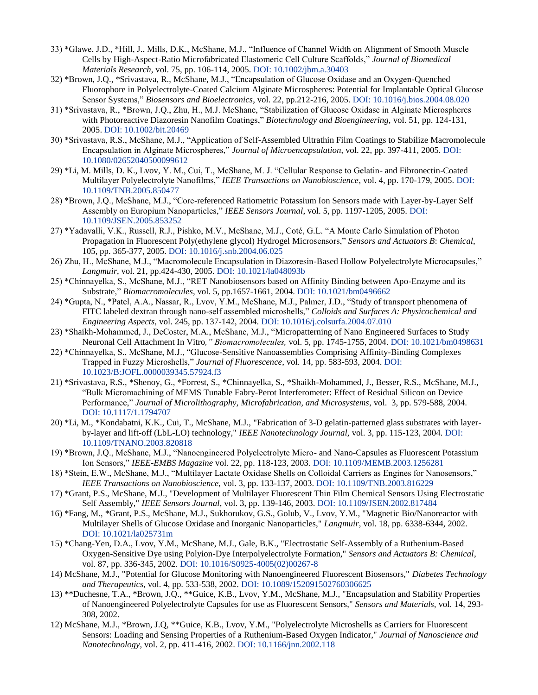- 33) \*Glawe, J.D., \*Hill, J., Mills, D.K., McShane, M.J., "Influence of Channel Width on Alignment of Smooth Muscle Cells by High-Aspect-Ratio Microfabricated Elastomeric Cell Culture Scaffolds," *Journal of Biomedical Materials Research*, vol. 75, pp. 106-114, 2005. [DOI: 10.1002/jbm.a.30403](http://dx.doi.org/10.1002/jbm.a.30403)
- 32) \*Brown, J.Q., \*Srivastava, R., McShane, M.J., "Encapsulation of Glucose Oxidase and an Oxygen-Quenched Fluorophore in Polyelectrolyte-Coated Calcium Alginate Microspheres: Potential for Implantable Optical Glucose Sensor Systems," *Biosensors and Bioelectronics*, vol. 22, pp.212-216, 2005. [DOI: 10.1016/j.bios.2004.08.020](http://dx.doi.org/10.1016/j.bios.2004.08.020)
- 31) \*Srivastava, R., \*Brown, J.Q., Zhu, H., M.J. McShane, "Stabilization of Glucose Oxidase in Alginate Microspheres with Photoreactive Diazoresin Nanofilm Coatings," *Biotechnology and Bioengineering,* vol. 51, pp. 124-131, 2005. [DOI: 10.1002/bit.20469](http://dx.doi.org/10.1002/bit.20469)
- 30) \*Srivastava, R.S., McShane, M.J., "Application of Self-Assembled Ultrathin Film Coatings to Stabilize Macromolecule Encapsulation in Alginate Microspheres," *Journal of Microencapsulation*, vol. 22, pp. 397-411, 2005. [DOI:](http://dx.doi.org/10.1080/02652040500099612)  [10.1080/02652040500099612](http://dx.doi.org/10.1080/02652040500099612)
- 29) \*Li, M. Mills, D. K., Lvov, Y. M., Cui, T., McShane, M. J. "Cellular Response to Gelatin- and Fibronectin-Coated Multilayer Polyelectrolyte Nanofilms," *IEEE Transactions on Nanobioscience*, vol. 4, pp. 170-179, 2005[. DOI:](http://dx.doi.org/10.1109/TNB.2005.850477)  [10.1109/TNB.2005.850477](http://dx.doi.org/10.1109/TNB.2005.850477)
- 28) \*Brown, J.Q., McShane, M.J., "Core-referenced Ratiometric Potassium Ion Sensors made with Layer-by-Layer Self Assembly on Europium Nanoparticles," *IEEE Sensors Journal*, vol. 5, pp. 1197-1205, 2005. [DOI:](http://dx.doi.org/10.1109/JSEN.2005.859252)  [10.1109/JSEN.2005.853252](http://dx.doi.org/10.1109/JSEN.2005.859252)
- 27) \*Yadavalli, V.K., Russell, R.J., Pishko, M.V., McShane, M.J., Coté, G.L. "A Monte Carlo Simulation of Photon Propagation in Fluorescent Poly(ethylene glycol) Hydrogel Microsensors," *Sensors and Actuators B*: *Chemical*, 105, pp. 365-377, 2005. [DOI: 10.1016/j.snb.2004.06.025](http://dx.doi.org/10.1016/j.snb.2004.06.025)
- 26) Zhu, H., McShane, M.J., "Macromolecule Encapsulation in Diazoresin-Based Hollow Polyelectrolyte Microcapsules," *Langmuir*, vol. 21, pp.424-430, 2005. [DOI: 10.1021/la048093b](http://dx.doi.org/10.1021/la048093b)
- 25) \*Chinnayelka, S., McShane, M.J., "RET Nanobiosensors based on Affinity Binding between Apo-Enzyme and its Substrate," *Biomacromolecules*, vol. 5, pp.1657-1661, 2004. [DOI: 10.1021/bm0496662](http://dx.doi.org/10.1021/bm0496662)
- 24) \*Gupta, N., \*Patel, A.A., Nassar, R., Lvov, Y.M., McShane, M.J., Palmer, J.D., "Study of transport phenomena of FITC labeled dextran through nano-self assembled microshells," *Colloids and Surfaces A: Physicochemical and Engineering Aspects,* vol. 245, pp. 137-142, 2004. [DOI: 10.1016/j.colsurfa.2004.07.010](http://dx.doi.org/10.1016/j.colsurfa.2004.07.010)
- 23) \*Shaikh-Mohammed, J., DeCoster, M.A., McShane, M.J., "Micropatterning of Nano Engineered Surfaces to Study Neuronal Cell Attachment In Vitro*," Biomacromolecules,* vol. 5, pp. 1745-1755, 2004. [DOI: 10.1021/bm0498631](http://dx.doi.org/10.1021/bm0498631)
- 22) \*Chinnayelka, S., McShane, M.J., "Glucose-Sensitive Nanoassemblies Comprising Affinity-Binding Complexes Trapped in Fuzzy Microshells," *Journal of Fluorescence*, vol. 14, pp. 583-593, 2004. [DOI:](http://dx.doi.org/10.1023/B:JOFL.0000039345.57924.f3)  [10.1023/B:JOFL.0000039345.57924.f3](http://dx.doi.org/10.1023/B:JOFL.0000039345.57924.f3)
- 21) \*Srivastava, R.S., \*Shenoy, G., \*Forrest, S., \*Chinnayelka, S., \*Shaikh-Mohammed, J., Besser, R.S., McShane, M.J., "Bulk Micromachining of MEMS Tunable Fabry-Perot Interferometer: Effect of Residual Silicon on Device Performance," *Journal of Microlithography, Microfabrication, and Microsystems*, vol. 3, pp. 579-588, 2004. [DOI: 10.1117/1.1794707](http://dx.doi.org/10.1117/1.1794707)
- 20) \*Li, M., \*Kondabatni, K.K., Cui, T., McShane, M.J., "Fabrication of 3-D gelatin-patterned glass substrates with layerby-layer and lift-off (LbL-LO) technology," *IEEE Nanotechnology Journal,* vol. 3, pp. 115-123, 2004[. DOI:](http://dx.doi.org/10.1109/TNANO.2003.820818)  [10.1109/TNANO.2003.820818](http://dx.doi.org/10.1109/TNANO.2003.820818)
- 19) \*Brown, J.Q., McShane, M.J., "Nanoengineered Polyelectrolyte Micro- and Nano-Capsules as Fluorescent Potassium Ion Sensors," *IEEE-EMBS Magazine* vol. 22, pp. 118-123, 2003. [DOI: 10.1109/MEMB.2003.1256281](http://dx.doi.org/10.1109/MEMB.2003.1256281)
- 18) \*Stein, E.W., McShane, M.J., "Multilayer Lactate Oxidase Shells on Colloidal Carriers as Engines for Nanosensors," *IEEE Transactions on Nanobioscience*, vol. 3, pp. 133-137, 2003. [DOI: 10.1109/TNB.2003.816229](http://dx.doi.org/10.1109/TNB.2003.816229)
- 17) \*Grant, P.S., McShane, M.J., "Development of Multilayer Fluorescent Thin Film Chemical Sensors Using Electrostatic Self Assembly," *IEEE Sensors Journal*, vol. 3, pp. 139-146, 2003. [DOI: 10.1109/JSEN.2002.817484](http://dx.doi.org/10.1109/JSEN.2002.817484)
- 16) \*Fang, M., \*Grant, P.S., McShane, M.J., Sukhorukov, G.S., Golub, V., Lvov, Y.M., "Magnetic Bio/Nanoreactor with Multilayer Shells of Glucose Oxidase and Inorganic Nanoparticles," *Langmuir*, vol. 18, pp. 6338-6344, 2002. [DOI: 10.1021/la025731m](http://dx.doi.org/10.1021/la025731m)
- 15) \*Chang-Yen, D.A., Lvov, Y.M., McShane, M.J., Gale, B.K., "Electrostatic Self-Assembly of a Ruthenium-Based Oxygen-Sensitive Dye using Polyion-Dye Interpolyelectrolyte Formation," *Sensors and Actuators B: Chemical*, vol. 87, pp. 336-345, 2002. [DOI: 10.1016/S0925-4005\(02\)00267-8](http://dx.doi.org/10.1016/S0925-4005(02)00267-8)
- 14) McShane, M.J., "Potential for Glucose Monitoring with Nanoengineered Fluorescent Biosensors," *Diabetes Technology and Therapeutics*, vol. 4, pp. 533-538, 2002. [DOI: 10.1089/152091502760306625](http://dx.doi.org/10.1089/152091502760306625)
- 13) \*\*Duchesne, T.A., \*Brown, J.Q., \*\*Guice, K.B., Lvov, Y.M., McShane, M.J., "Encapsulation and Stability Properties of Nanoengineered Polyelectrolyte Capsules for use as Fluorescent Sensors," *Sensors and Materials,* vol. 14, 293- 308, 2002.
- 12) McShane, M.J., \*Brown, J.Q, \*\*Guice, K.B., Lvov, Y.M., "Polyelectrolyte Microshells as Carriers for Fluorescent Sensors: Loading and Sensing Properties of a Ruthenium-Based Oxygen Indicator," *Journal of Nanoscience and Nanotechnology*, vol. 2, pp. 411-416, 2002. [DOI: 10.1166/jnn.2002.118](http://dx.doi.org/10.1166/jnn.2002.118)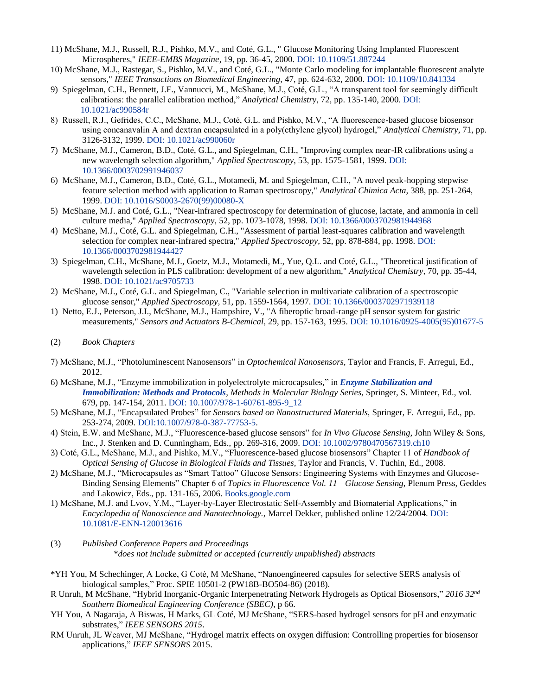- 11) McShane, M.J., Russell, R.J., Pishko, M.V., and Coté, G.L., " Glucose Monitoring Using Implanted Fluorescent Microspheres," *IEEE-EMBS Magazine*, 19, pp. 36-45, 2000. [DOI: 10.1109/51.887244](http://dx.doi.org/10.1109/51.887244)
- 10) McShane, M.J., Rastegar, S., Pishko, M.V., and Coté, G.L., "Monte Carlo modeling for implantable fluorescent analyte sensors," *IEEE Transactions on Biomedical Engineering,* 47, pp. 624-632, 2000. [DOI: 10.1109/10.841334](http://dx.doi.org/10.1109/10.841334)
- 9) Spiegelman, C.H., Bennett, J.F., Vannucci, M., McShane, M.J., Coté, G.L., "A transparent tool for seemingly difficult calibrations: the parallel calibration method," *Analytical Chemistry*, 72, pp. 135-140, 2000. [DOI:](http://dx.doi.org/10.1021/ac990584r)  [10.1021/ac990584r](http://dx.doi.org/10.1021/ac990584r)
- 8) Russell, R.J., Gefrides, C.C., McShane, M.J., Coté, G.L. and Pishko, M.V., "A fluorescence-based glucose biosensor using concanavalin A and dextran encapsulated in a poly(ethylene glycol) hydrogel," *Analytical Chemistry*, 71, pp. 3126-3132, 1999. [DOI: 10.1021/ac990060r](http://dx.doi.org/10.1021/ac990060r)
- 7) McShane, M.J., Cameron, B.D., Coté, G.L., and Spiegelman, C.H., "Improving complex near-IR calibrations using a new wavelength selection algorithm," *Applied Spectroscopy*, 53, pp. 1575-1581, 1999. [DOI:](http://dx.doi.org/10.1366/000370299194603710.1016/S0003-2670(99)00080-X)  [10.1366/0003702991946037](http://dx.doi.org/10.1366/000370299194603710.1016/S0003-2670(99)00080-X)
- 6) McShane, M.J., Cameron, B.D., Coté, G.L., Motamedi, M. and Spiegelman, C.H., "A novel peak-hopping stepwise feature selection method with application to Raman spectroscopy," *Analytical Chimica Acta,* 388, pp. 251-264, 1999. [DOI: 10.1016/S0003-2670\(99\)00080-X](http://dx.doi.org/10.1016/S0003-2670(99)00080-X)
- 5) McShane, M.J. and Coté, G.L., "Near-infrared spectroscopy for determination of glucose, lactate, and ammonia in cell culture media," *Applied Spectroscopy,* 52, pp. 1073-1078, 1998. [DOI: 10.1366/0003702981944968](http://dx.doi.org/10.1366/0003702981944968)
- 4) McShane, M.J., Coté, G.L. and Spiegelman, C.H., "Assessment of partial least-squares calibration and wavelength selection for complex near-infrared spectra," *Applied Spectroscopy,* 52, pp. 878-884, pp. 1998. [DOI:](http://dx.doi.org/10.1366/0003702981944427)  [10.1366/0003702981944427](http://dx.doi.org/10.1366/0003702981944427)
- 3) Spiegelman, C.H., McShane, M.J., Goetz, M.J., Motamedi, M., Yue, Q.L. and Coté, G.L., "Theoretical justification of wavelength selection in PLS calibration: development of a new algorithm," *Analytical Chemistry,* 70, pp. 35-44, 1998. [DOI: 10.1021/ac9705733](http://dx.doi.org/10.1021/ac9705733)
- 2) McShane, M.J., Coté, G.L. and Spiegelman, C., "Variable selection in multivariate calibration of a spectroscopic glucose sensor," *Applied Spectroscopy,* 51, pp. 1559-1564, 1997. [DOI: 10.1366/0003702971939118](http://dx.doi.org/10.1366/0003702971939118)
- 1) Netto, E.J., Peterson, J.I., McShane, M.J., Hampshire, V., "A fiberoptic broad-range pH sensor system for gastric measurements," *Sensors and Actuators B-Chemical*, 29, pp. 157-163, 1995. [DOI: 10.1016/0925-4005\(95\)01677-5](http://dx.doi.org/10.1016/0925-4005(95)01677-5)
- (2) *Book Chapters*
- 7) McShane, M.J., "Photoluminescent Nanosensors" in *Optochemical Nanosensors,* Taylor and Francis, F. Arregui, Ed., 2012.
- 6) McShane, M.J., "Enzyme immobilization in polyelectrolyte microcapsules," in *[Enzyme Stabilization and](http://www.springerprotocols.com/BookToc/doi/10.1007/978-1-60761-895-9?uri=/Pdf/doi/10.1007/978-1-60761-895-9_12)  [Immobilization: Methods and Protocols](http://www.springerprotocols.com/BookToc/doi/10.1007/978-1-60761-895-9?uri=/Pdf/doi/10.1007/978-1-60761-895-9_12), Methods in Molecular Biology Series,* Springer, S. Minteer, Ed., vol. 679, pp. 147-154, 2011. DOI: [10.1007/978-1-60761-895-9\\_12](http://dx.doi.org/10.1007/978-1-60761-895-9_12)
- 5) McShane, M.J., "Encapsulated Probes" for *Sensors based on Nanostructured Materials,* Springer, F. Arregui, Ed., pp. 253-274, 2009. [DOI:10.1007/978-0-387-77753-5.](http://dx.doi.org/10.1007/978-0-387-77753-5)
- 4) Stein, E.W. and McShane, M.J., "Fluorescence-based glucose sensors" for *In Vivo Glucose Sensing,* John Wiley & Sons, Inc., J. Stenken and D. Cunningham, Eds., pp. 269-316, 2009. [DOI: 10.1002/9780470567319.ch10](http://dx.doi.org/10.1002/9780470567319.ch10)
- 3) Coté, G.L., McShane, M.J., and Pishko, M.V., "Fluorescence-based glucose biosensors" Chapter 11 of *Handbook of Optical Sensing of Glucose in Biological Fluids and Tissues,* Taylor and Francis, V. Tuchin, Ed., 2008.
- 2) McShane, M.J., "Microcapsules as "Smart Tattoo" Glucose Sensors: Engineering Systems with Enzymes and Glucose-Binding Sensing Elements" Chapter 6 of *Topics in Fluorescence Vol. 11—Glucose Sensing,* Plenum Press, Geddes and Lakowicz, Eds., pp. 131-165, 2006. [Books.google.com](http://books.google.com/books?id=b72ARCd0YwEC&lpg=PA131&dq=geddes%20lakowicz%20glucose%20sensing%20fluorescence&pg=PA131#v=onepage&q=geddes%20lakowicz%20glucose%20sensing%20fluorescence&f=false)
- 1) McShane, M.J. and Lvov, Y.M., "Layer-by-Layer Electrostatic Self-Assembly and Biomaterial Applications," in *Encyclopedia of Nanoscience and Nanotechnology.,* Marcel Dekker, published online 12/24/2004. [DOI:](http://dx.doi.org/10.1081/E-ENN-120013616)  [10.1081/E-ENN-120013616](http://dx.doi.org/10.1081/E-ENN-120013616)
- (3) *Published Conference Papers and Proceedings* \**does not include submitted or accepted (currently unpublished) abstracts*
- \*YH You, M Schechinger, A Locke, G Coté, M McShane, "Nanoengineered capsules for selective SERS analysis of biological samples," Proc. SPIE 10501-2 (PW18B-BO504-86) (2018).
- R Unruh, M McShane, "Hybrid Inorganic-Organic Interpenetrating Network Hydrogels as Optical Biosensors," *2016 32nd Southern Biomedical Engineering Conference (SBEC)*, p 66.
- YH You, A Nagaraja, A Biswas, H Marks, GL Coté, MJ McShane, "SERS-based hydrogel sensors for pH and enzymatic substrates," *IEEE SENSORS 2015*.
- RM Unruh, JL Weaver, MJ McShane, "Hydrogel matrix effects on oxygen diffusion: Controlling properties for biosensor applications," *IEEE SENSORS* 2015.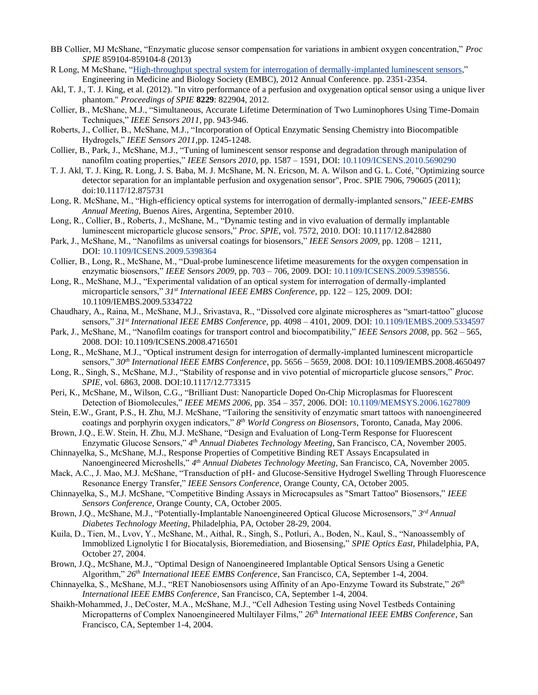- BB Collier, MJ McShane, "Enzymatic glucose sensor compensation for variations in ambient oxygen concentration," *Proc SPIE* 859104-859104-8 (2013)
- R Long, M McShane, ["High-throughput spectral system for interrogation of dermally-implanted luminescent sensors,](http://scholar.google.com/citations?view_op=view_citation&hl=en&user=VbWK0N8AAAAJ&sortby=pubdate&citation_for_view=VbWK0N8AAAAJ:S16KYo8Pm5AC)" Engineering in Medicine and Biology Society (EMBC), 2012 Annual Conference. pp. 2351-2354.
- Akl, T. J., T. J. King, et al. (2012). "In vitro performance of a perfusion and oxygenation optical sensor using a unique liver phantom." *Proceedings of SPIE* **8229**: 822904, 2012.
- Collier, B., McShane, M.J., "Simultaneous, Accurate Lifetime Determination of Two Luminophores Using Time-Domain Techniques," *IEEE Sensors 2011*, pp. 943-946.
- Roberts, J., Collier, B., McShane, M.J., "Incorporation of Optical Enzymatic Sensing Chemistry into Biocompatible Hydrogels," *IEEE Sensors 2011*,pp. 1245-1248.
- Collier, B., Park, J., McShane, M.J., "Tuning of luminescent sensor response and degradation through manipulation of nanofilm coating properties," *IEEE Sensors 2010*, pp. 1587 – 1591, DOI: [10.1109/ICSENS.2010.5690290](http://dx.doi.org/10.1109/ICSENS.2010.5690290)
- T. J. Akl, T. J. King, R. Long, J. S. Baba, M. J. McShane, M. N. Ericson, M. A. Wilson and G. L. Coté, "Optimizing source detector separation for an implantable perfusion and oxygenation sensor", Proc. SPIE 7906, 790605 (2011); doi:10.1117/12.875731
- Long, R. McShane, M., "High-efficiency optical systems for interrogation of dermally-implanted sensors," *IEEE-EMBS Annual Meeting*, Buenos Aires, Argentina, September 2010.
- Long, R., Collier, B., Roberts, J., McShane, M., "Dynamic testing and in vivo evaluation of dermally implantable luminescent microparticle glucose sensors," *Proc. SPIE*, vol. 7572, 2010. DOI: 10.1117/12.842880
- Park, J., McShane, M., "Nanofilms as universal coatings for biosensors," *IEEE Sensors 2009*, pp. 1208 1211, DOI: [10.1109/ICSENS.2009.5398364](http://dx.doi.org/10.1109/ICSENS.2009.5398364)
- Collier, B., Long, R., McShane, M., "Dual-probe luminescence lifetime measurements for the oxygen compensation in enzymatic biosensors," *IEEE Sensors 2009*, pp. 703 – 706, 2009. DOI: [10.1109/ICSENS.2009.5398556.](http://dx.doi.org/10.1109/ICSENS.2009.5398556)
- Long, R., McShane, M.J., "Experimental validation of an optical system for interrogation of dermally-implanted microparticle sensors," *31st International IEEE EMBS Conference*, pp. 122 – 125, 2009. DOI: 10.1109/IEMBS.2009.5334722
- Chaudhary, A., Raina, M., McShane, M.J., Srivastava, R., "Dissolved core alginate microspheres as "smart-tattoo" glucose sensors," *31st International IEEE EMBS Conference*, pp. 4098 – 4101, 2009. DOI: [10.1109/IEMBS.2009.5334597](http://dx.doi.org/10.1109/IEMBS.2009.5334597)
- Park, J., McShane, M., "Nanofilm coatings for transport control and biocompatibility," *IEEE Sensors 2008*, pp. 562 565, 2008. DOI: 10.1109/ICSENS.2008.4716501
- Long, R., McShane, M.J., "Optical instrument design for interrogation of dermally-implanted luminescent microparticle sensors," *30th International IEEE EMBS Conference*, pp. 5656 – 5659, 2008. DOI: 10.1109/IEMBS.2008.4650497
- Long, R., Singh, S., McShane, M.J., "Stability of response and in vivo potential of microparticle glucose sensors," *Proc. SPIE*, vol. 6863, 2008. DOI:10.1117/12.773315
- Peri, K., McShane, M., Wilson, C.G., "Brilliant Dust: Nanoparticle Doped On-Chip Microplasmas for Fluorescent Detection of Biomolecules," *IEEE MEMS 2006*, pp. 354 – 357, 2006. DOI: [10.1109/MEMSYS.2006.1627809](http://dx.doi.org/10.1109/MEMSYS.2006.1627809)
- Stein, E.W., Grant, P.S., H. Zhu, M.J. McShane, "Tailoring the sensitivity of enzymatic smart tattoos with nanoengineered coatings and porphyrin oxygen indicators," *8 th World Congress on Biosensors*, Toronto, Canada, May 2006.
- Brown, J.Q., E.W. Stein, H. Zhu, M.J. McShane, "Design and Evaluation of Long-Term Response for Fluorescent Enzymatic Glucose Sensors," *4 th Annual Diabetes Technology Meeting*, San Francisco, CA, November 2005.
- Chinnayelka, S., McShane, M.J., Response Properties of Competitive Binding RET Assays Encapsulated in Nanoengineered Microshells," *4 th Annual Diabetes Technology Meeting*, San Francisco, CA, November 2005.
- Mack, A.C., J. Mao, M.J. McShane, "Transduction of pH- and Glucose-Sensitive Hydrogel Swelling Through Fluorescence Resonance Energy Transfer," *IEEE Sensors Conference*, Orange County, CA, October 2005.
- Chinnayelka, S., M.J. McShane, "Competitive Binding Assays in Microcapsules as "Smart Tattoo" Biosensors," *IEEE Sensors Conference*, Orange County, CA, October 2005.
- Brown, J.Q., McShane, M.J., "Potentially-Implantable Nanoengineered Optical Glucose Microsensors," *3 rd Annual Diabetes Technology Meeting*, Philadelphia, PA, October 28-29, 2004.
- Kuila, D., Tien, M., Lvov, Y., McShane, M., Aithal, R., Singh, S., Potluri, A., Boden, N., Kaul, S., "Nanoassembly of Immoblized Lignolytic I for Biocatalysis, Bioremediation, and Biosensing," *SPIE Optics East*, Philadelphia, PA, October 27, 2004.
- Brown, J.Q., McShane, M.J., "Optimal Design of Nanoengineered Implantable Optical Sensors Using a Genetic Algorithm," *26th International IEEE EMBS Conference*, San Francisco, CA, September 1-4, 2004.
- Chinnayelka, S., McShane, M.J., "RET Nanobiosensors using Affinity of an Apo-Enzyme Toward its Substrate," *26th International IEEE EMBS Conference*, San Francisco, CA, September 1-4, 2004.
- Shaikh-Mohammed, J., DeCoster, M.A., McShane, M.J., "Cell Adhesion Testing using Novel Testbeds Containing Micropatterns of Complex Nanoengineered Multilayer Films," *26th International IEEE EMBS Conference*, San Francisco, CA, September 1-4, 2004.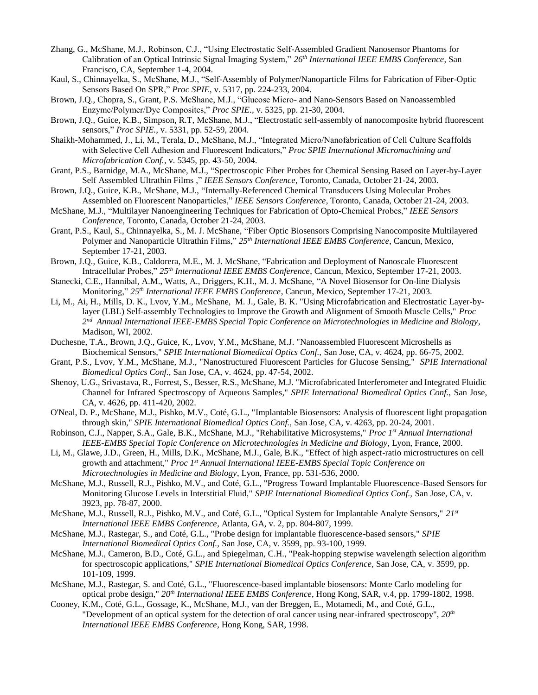- Zhang, G., McShane, M.J., Robinson, C.J., "Using Electrostatic Self-Assembled Gradient Nanosensor Phantoms for Calibration of an Optical Intrinsic Signal Imaging System," *26th International IEEE EMBS Conference*, San Francisco, CA, September 1-4, 2004.
- Kaul, S., Chinnayelka, S., McShane, M.J., "Self-Assembly of Polymer/Nanoparticle Films for Fabrication of Fiber-Optic Sensors Based On SPR," *Proc SPIE,* v. 5317, pp. 224-233, 2004.
- Brown, J.Q., Chopra, S., Grant, P.S. McShane, M.J., "Glucose Micro- and Nano-Sensors Based on Nanoassembled Enzyme/Polymer/Dye Composites," *Proc SPIE.,* v. 5325, pp. 21-30, 2004.
- Brown, J.Q., Guice, K.B., Simpson, R.T, McShane, M.J., ["Electrostatic self-assembly of nanocomposite hybrid fluorescent](http://bookstore.spie.org/index.cfm?fuseaction=detailpaper&cachedsearch=1&productid=529793&producttype=pdf&CFID=1017563&CFTOKEN=8648752)  [sensors,](http://bookstore.spie.org/index.cfm?fuseaction=detailpaper&cachedsearch=1&productid=529793&producttype=pdf&CFID=1017563&CFTOKEN=8648752)" *Proc SPIE.,* v. 5331, pp. 52-59, 2004.
- Shaikh-Mohammed, J., Li, M., Terala, D., McShane, M.J., "Integrated Micro/Nanofabrication of Cell Culture Scaffolds with Selective Cell Adhesion and Fluorescent Indicators," *Proc SPIE International Micromachining and Microfabrication Conf.,* v. 5345, pp. 43-50, 2004.
- Grant, P.S., Barnidge, M.A., McShane, M.J., "Spectroscopic Fiber Probes for Chemical Sensing Based on Layer-by-Layer Self Assembled Ultrathin Films ," *IEEE Sensors Conference*, Toronto, Canada, October 21-24, 2003.
- Brown, J.Q., Guice, K.B., McShane, M.J., "Internally-Referenced Chemical Transducers Using Molecular Probes Assembled on Fluorescent Nanoparticles," *IEEE Sensors Conference*, Toronto, Canada, October 21-24, 2003.
- McShane, M.J., "Multilayer Nanoengineering Techniques for Fabrication of Opto-Chemical Probes," *IEEE Sensors Conference*, Toronto, Canada, October 21-24, 2003.
- Grant, P.S., Kaul, S., Chinnayelka, S., M. J. McShane, "Fiber Optic Biosensors Comprising Nanocomposite Multilayered Polymer and Nanoparticle Ultrathin Films," *25th International IEEE EMBS Conference*, Cancun, Mexico, September 17-21, 2003.
- Brown, J.Q., Guice, K.B., Caldorera, M.E., M. J. McShane, "Fabrication and Deployment of Nanoscale Fluorescent Intracellular Probes," *25th International IEEE EMBS Conference*, Cancun, Mexico, September 17-21, 2003.
- Stanecki, C.E., Hannibal, A.M., Watts, A., Driggers, K.H., M. J. McShane, "A Novel Biosensor for On-line Dialysis Monitoring," *25th International IEEE EMBS Conference*, Cancun, Mexico, September 17-21, 2003.
- Li, M., Ai, H., Mills, D. K., Lvov, Y.M., McShane, M. J., Gale, B. K. "Using Microfabrication and Electrostatic Layer-bylayer (LBL) Self-assembly Technologies to Improve the Growth and Alignment of Smooth Muscle Cells," *Proc 2 nd Annual International IEEE-EMBS Special Topic Conference on Microtechnologies in Medicine and Biology*, Madison, WI, 2002.
- Duchesne, T.A., Brown, J.Q., Guice, K., Lvov, Y.M., McShane, M.J. "Nanoassembled Fluorescent Microshells as Biochemical Sensors," *SPIE International Biomedical Optics Conf.,* San Jose, CA, v. 4624, pp. 66-75, 2002.
- Grant, P.S., Lvov, Y.M., McShane, M.J., "Nanostructured Fluorescent Particles for Glucose Sensing," *SPIE International Biomedical Optics Conf.,* San Jose, CA, v. 4624, pp. 47-54, 2002.
- Shenoy, U.G., Srivastava, R., Forrest, S., Besser, R.S., McShane, M.J. "Microfabricated Interferometer and Integrated Fluidic Channel for Infrared Spectroscopy of Aqueous Samples," *SPIE International Biomedical Optics Conf.,* San Jose, CA, v. 4626, pp. 411-420, 2002.
- O'Neal, D. P., McShane, M.J., Pishko, M.V., Coté, G.L., "Implantable Biosensors: Analysis of fluorescent light propagation through skin," *SPIE International Biomedical Optics Conf.,* San Jose, CA, v. 4263, pp. 20-24, 2001.
- Robinson, C.J., Napper, S.A., Gale, B.K., McShane, M.J., "Rehabilitative Microsystems," *Proc 1 st Annual International IEEE-EMBS Special Topic Conference on Microtechnologies in Medicine and Biology*, Lyon, France, 2000.
- Li, M., Glawe, J.D., Green, H., Mills, D.K., McShane, M.J., Gale, B.K., "Effect of high aspect-ratio microstructures on cell growth and attachment," *Proc 1 st Annual International IEEE-EMBS Special Topic Conference on Microtechnologies in Medicine and Biology*, Lyon, France, pp. 531-536, 2000.
- McShane, M.J., Russell, R.J., Pishko, M.V., and Coté, G.L., "Progress Toward Implantable Fluorescence-Based Sensors for Monitoring Glucose Levels in Interstitial Fluid," *SPIE International Biomedical Optics Conf.,* San Jose, CA, v. 3923, pp. 78-87, 2000.
- McShane, M.J., Russell, R.J., Pishko, M.V., and Coté, G.L., "Optical System for Implantable Analyte Sensors," *21st International IEEE EMBS Conference*, Atlanta, GA, v. 2, pp. 804-807, 1999.
- McShane, M.J., Rastegar, S., and Coté, G.L., "Probe design for implantable fluorescence-based sensors," *SPIE International Biomedical Optics Conf.,* San Jose, CA, v. 3599, pp. 93-100, 1999.
- McShane, M.J., Cameron, B.D., Coté, G.L., and Spiegelman, C.H., "Peak-hopping stepwise wavelength selection algorithm for spectroscopic applications," *SPIE International Biomedical Optics Conference,* San Jose, CA, v. 3599, pp. 101-109, 1999.
- McShane, M.J., Rastegar, S. and Coté, G.L., "Fluorescence-based implantable biosensors: Monte Carlo modeling for optical probe design," *20th International IEEE EMBS Conference*, Hong Kong, SAR, v.4, pp. 1799-1802, 1998.
- Cooney, K.M., Coté, G.L., Gossage, K., McShane, M.J., van der Breggen, E., Motamedi, M., and Coté, G.L., "Development of an optical system for the detection of oral cancer using near-infrared spectroscopy", *20th International IEEE EMBS Conference*, Hong Kong, SAR, 1998.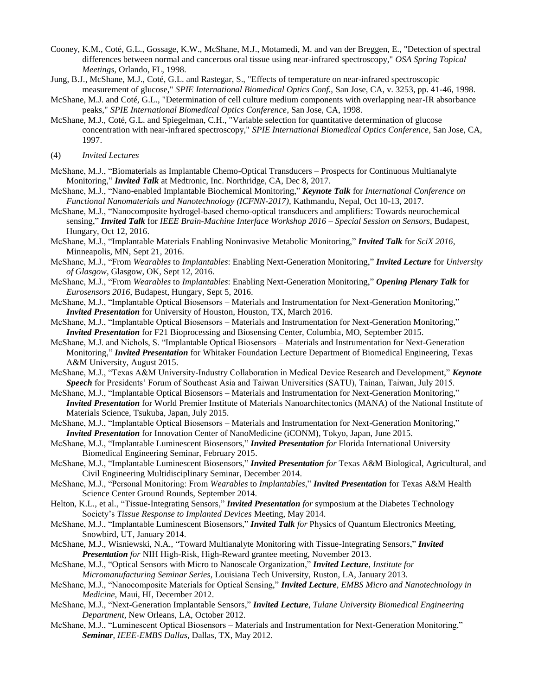- Cooney, K.M., Coté, G.L., Gossage, K.W., McShane, M.J., Motamedi, M. and van der Breggen, E., "Detection of spectral differences between normal and cancerous oral tissue using near-infrared spectroscopy," *OSA Spring Topical Meetings*, Orlando, FL, 1998.
- Jung, B.J., McShane, M.J., Coté, G.L. and Rastegar, S., "Effects of temperature on near-infrared spectroscopic measurement of glucose," *SPIE International Biomedical Optics Conf.,* San Jose, CA, v. 3253, pp. 41-46, 1998.
- McShane, M.J. and Coté, G.L., "Determination of cell culture medium components with overlapping near-IR absorbance peaks," *SPIE International Biomedical Optics Conference*, San Jose, CA, 1998.
- McShane, M.J., Coté, G.L. and Spiegelman, C.H., "Variable selection for quantitative determination of glucose concentration with near-infrared spectroscopy," *SPIE International Biomedical Optics Conference*, San Jose, CA, 1997.

(4) *Invited Lectures*

- McShane, M.J., "Biomaterials as Implantable Chemo-Optical Transducers Prospects for Continuous Multianalyte Monitoring," *Invited Talk* at Medtronic, Inc. Northridge, CA, Dec 8, 2017.
- McShane, M.J., "Nano-enabled Implantable Biochemical Monitoring," *Keynote Talk* for *International Conference on Functional Nanomaterials and Nanotechnology (ICFNN-2017),* Kathmandu, Nepal, Oct 10-13, 2017.
- McShane, M.J., "Nanocomposite hydrogel-based chemo-optical transducers and amplifiers: Towards neurochemical sensing," *Invited Talk* for *IEEE Brain-Machine Interface Workshop 2016 – Special Session on Sensors*, Budapest, Hungary, Oct 12, 2016.
- McShane, M.J., "Implantable Materials Enabling Noninvasive Metabolic Monitoring," *Invited Talk* for *SciX 2016*, Minneapolis, MN, Sept 21, 2016.
- McShane, M.J., "From *Wearables* to *Implantables*: Enabling Next-Generation Monitoring," *Invited Lecture* for *University of Glasgow*, Glasgow, OK, Sept 12, 2016.
- McShane, M.J., "From *Wearables* to *Implantables*: Enabling Next-Generation Monitoring," *Opening Plenary Talk* for *Eurosensors 2016*, Budapest, Hungary, Sept 5, 2016.
- McShane, M.J., "Implantable Optical Biosensors Materials and Instrumentation for Next-Generation Monitoring," *Invited Presentation* for University of Houston, Houston, TX, March 2016.
- McShane, M.J., "Implantable Optical Biosensors Materials and Instrumentation for Next-Generation Monitoring," *Invited Presentation* for F21 Bioprocessing and Biosensing Center, Columbia, MO, September 2015.
- McShane, M.J. and Nichols, S. "Implantable Optical Biosensors Materials and Instrumentation for Next-Generation Monitoring," *Invited Presentation* for Whitaker Foundation Lecture Department of Biomedical Engineering, Texas A&M University, August 2015.
- McShane, M.J., "Texas A&M University-Industry Collaboration in Medical Device Research and Development," *Keynote Speech* for Presidents' Forum of Southeast Asia and Taiwan Universities (SATU), Tainan, Taiwan, July 2015.
- McShane, M.J., "Implantable Optical Biosensors Materials and Instrumentation for Next-Generation Monitoring," *Invited Presentation* for World Premier Institute of Materials Nanoarchitectonics (MANA) of the National Institute of Materials Science, Tsukuba, Japan, July 2015.
- McShane, M.J., "Implantable Optical Biosensors Materials and Instrumentation for Next-Generation Monitoring," *Invited Presentation* for Innovation Center of NanoMedicine (iCONM), Tokyo, Japan, June 2015.
- McShane, M.J., "Implantable Luminescent Biosensors," *Invited Presentation for* Florida International University Biomedical Engineering Seminar, February 2015.

McShane, M.J., "Implantable Luminescent Biosensors," *Invited Presentation for* Texas A&M Biological, Agricultural, and Civil Engineering Multidisciplinary Seminar, December 2014.

- McShane, M.J., "Personal Monitoring: From *Wearables* to *Implantables*," *Invited Presentation* for Texas A&M Health Science Center Ground Rounds, September 2014.
- Helton, K.L., et al., "Tissue-Integrating Sensors," *Invited Presentation for* symposium at the Diabetes Technology Society's *Tissue Response to Implanted Devices* Meeting, May 2014.
- McShane, M.J., "Implantable Luminescent Biosensors," *Invited Talk for* Physics of Quantum Electronics Meeting, Snowbird, UT, January 2014.
- McShane, M.J., Wisniewski, N.A., "Toward Multianalyte Monitoring with Tissue-Integrating Sensors," *Invited Presentation for* NIH High-Risk, High-Reward grantee meeting, November 2013.
- McShane, M.J., "Optical Sensors with Micro to Nanoscale Organization," *Invited Lecture*, *Institute for Micromanufacturing Seminar Series,* Louisiana Tech University, Ruston, LA, January 2013.
- McShane, M.J., "Nanocomposite Materials for Optical Sensing," *Invited Lecture*, *EMBS Micro and Nanotechnology in Medicine,* Maui, HI, December 2012.
- McShane, M.J., "Next-Generation Implantable Sensors," *Invited Lecture*, *Tulane University Biomedical Engineering Department,* New Orleans, LA, October 2012.
- McShane, M.J., "Luminescent Optical Biosensors Materials and Instrumentation for Next-Generation Monitoring," *Seminar*, *IEEE-EMBS Dallas*, Dallas, TX, May 2012.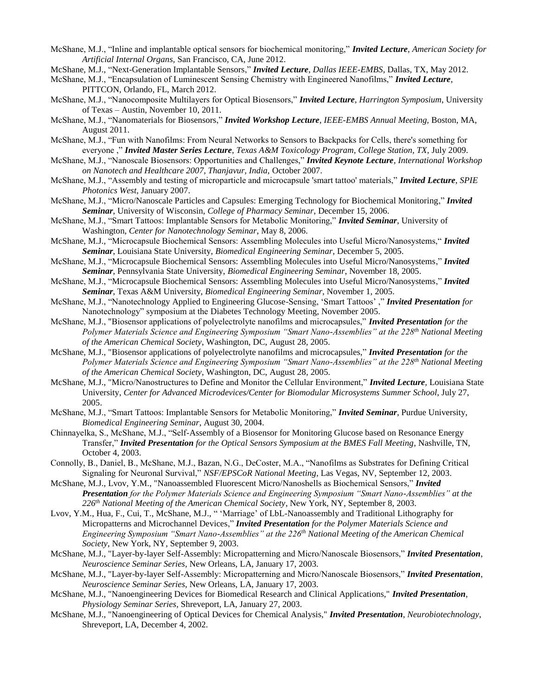- McShane, M.J., "Inline and implantable optical sensors for biochemical monitoring," *Invited Lecture*, *American Society for Artificial Internal Organs,* San Francisco, CA, June 2012.
- McShane, M.J., "Next-Generation Implantable Sensors," *Invited Lecture*, *Dallas IEEE-EMBS,* Dallas, TX, May 2012.
- McShane, M.J., "Encapsulation of Luminescent Sensing Chemistry with Engineered Nanofilms," *Invited Lecture*, PITTCON, Orlando, FL, March 2012.
- McShane, M.J., "Nanocomposite Multilayers for Optical Biosensors," *Invited Lecture*, *Harrington Symposium*, University of Texas – Austin, November 10, 2011.
- McShane, M.J., "Nanomaterials for Biosensors," *Invited Workshop Lecture*, *IEEE-EMBS Annual Meeting,* Boston, MA, August 2011.
- McShane, M.J., "Fun with Nanofilms: From Neural Networks to Sensors to Backpacks for Cells, there's something for everyone ," *Invited Master Series Lecture*, *Texas A&M Toxicology Program, College Station, TX,* July 2009.
- McShane, M.J., "Nanoscale Biosensors: Opportunities and Challenges," *Invited Keynote Lecture*, *International Workshop on Nanotech and Healthcare 2007, Thanjavur, India,* October 2007.
- McShane, M.J., "Assembly and testing of microparticle and microcapsule 'smart tattoo' materials," *Invited Lecture*, *SPIE Photonics West*, January 2007.
- McShane, M.J., "Micro/Nanoscale Particles and Capsules: Emerging Technology for Biochemical Monitoring," *Invited Seminar*, University of Wisconsin, *College of Pharmacy Seminar*, December 15, 2006.
- McShane, M.J., "Smart Tattoos: Implantable Sensors for Metabolic Monitoring," *Invited Seminar*, University of Washington, *Center for Nanotechnology Seminar*, May 8, 2006.
- McShane, M.J., "Microcapsule Biochemical Sensors: Assembling Molecules into Useful Micro/Nanosystems," *Invited Seminar*, Louisiana State University, *Biomedical Engineering Seminar*, December 5, 2005.
- McShane, M.J., "Microcapsule Biochemical Sensors: Assembling Molecules into Useful Micro/Nanosystems," *Invited Seminar*, Pennsylvania State University, *Biomedical Engineering Seminar*, November 18, 2005.
- McShane, M.J., "Microcapsule Biochemical Sensors: Assembling Molecules into Useful Micro/Nanosystems," *Invited Seminar*, Texas A&M University, *Biomedical Engineering Seminar*, November 1, 2005.
- McShane, M.J., "Nanotechnology Applied to Engineering Glucose-Sensing, 'Smart Tattoos' ," *Invited Presentation for* Nanotechnology" symposium at the Diabetes Technology Meeting, November 2005.
- McShane, M.J., "Biosensor applications of polyelectrolyte nanofilms and microcapsules," *Invited Presentation for the Polymer Materials Science and Engineering Symposium "Smart Nano-Assemblies" at the 228th National Meeting of the American Chemical Society*, Washington, DC, August 28, 2005.
- McShane, M.J., "Biosensor applications of polyelectrolyte nanofilms and microcapsules," *Invited Presentation for the Polymer Materials Science and Engineering Symposium "Smart Nano-Assemblies" at the 228th National Meeting of the American Chemical Society*, Washington, DC, August 28, 2005.
- McShane, M.J., "Micro/Nanostructures to Define and Monitor the Cellular Environment," *Invited Lecture*, Louisiana State University, *Center for Advanced Microdevices/Center for Biomodular Microsystems Summer School*, July 27, 2005.
- McShane, M.J., "Smart Tattoos: Implantable Sensors for Metabolic Monitoring," *Invited Seminar*, Purdue University, *Biomedical Engineering Seminar*, August 30, 2004.
- Chinnayelka, S., McShane, M.J., "Self-Assembly of a Biosensor for Monitoring Glucose based on Resonance Energy Transfer," *Invited Presentation for the Optical Sensors Symposium at the BMES Fall Meeting*, Nashville, TN, October 4, 2003.
- Connolly, B., Daniel, B., McShane, M.J., Bazan, N.G., DeCoster, M.A., "Nanofilms as Substrates for Defining Critical Signaling for Neuronal Survival," *NSF/EPSCoR National Meeting*, Las Vegas, NV, September 12, 2003.
- McShane, M.J., Lvov, Y.M., "Nanoassembled Fluorescent Micro/Nanoshells as Biochemical Sensors," *Invited Presentation for the Polymer Materials Science and Engineering Symposium "Smart Nano-Assemblies" at the 226th National Meeting of the American Chemical Society*, New York, NY, September 8, 2003.
- Lvov, Y.M., Hua, F., Cui, T., McShane, M.J., " 'Marriage' of LbL-Nanoassembly and Traditional Lithography for Micropatterns and Microchannel Devices," *Invited Presentation for the Polymer Materials Science and Engineering Symposium "Smart Nano-Assemblies" at the 226th National Meeting of the American Chemical Society*, New York, NY, September 9, 2003.
- McShane, M.J., "Layer-by-layer Self-Assembly: Micropatterning and Micro/Nanoscale Biosensors," *Invited Presentation*, *Neuroscience Seminar Series*, New Orleans, LA, January 17, 2003.
- McShane, M.J., "Layer-by-layer Self-Assembly: Micropatterning and Micro/Nanoscale Biosensors," *Invited Presentation*, *Neuroscience Seminar Series*, New Orleans, LA, January 17, 2003.
- McShane, M.J., "Nanoengineering Devices for Biomedical Research and Clinical Applications," *Invited Presentation*, *Physiology Seminar Series*, Shreveport, LA, January 27, 2003.
- McShane, M.J., "Nanoengineering of Optical Devices for Chemical Analysis," *Invited Presentation*, *Neurobiotechnology*, Shreveport, LA, December 4, 2002.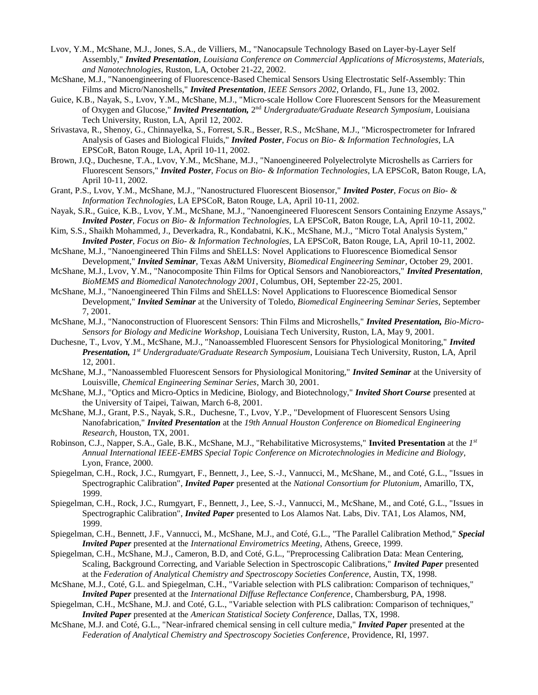- Lvov, Y.M., McShane, M.J., Jones, S.A., de Villiers, M., "Nanocapsule Technology Based on Layer-by-Layer Self Assembly," *Invited Presentation*, *Louisiana Conference on Commercial Applications of Microsystems, Materials, and Nanotechnologies*, Ruston, LA, October 21-22, 2002.
- McShane, M.J., "Nanoengineering of Fluorescence-Based Chemical Sensors Using Electrostatic Self-Assembly: Thin Films and Micro/Nanoshells," *Invited Presentation*, *IEEE Sensors 2002*, Orlando, FL, June 13, 2002.
- Guice, K.B., Nayak, S., Lvov, Y.M., McShane, M.J., "Micro-scale Hollow Core Fluorescent Sensors for the Measurement of Oxygen and Glucose," *Invited Presentation*, 2<sup>nd</sup> Undergraduate/Graduate Research Symposium, Louisiana Tech University, Ruston, LA, April 12, 2002.
- Srivastava, R., Shenoy, G., Chinnayelka, S., Forrest, S.R., Besser, R.S., McShane, M.J., "Microspectrometer for Infrared Analysis of Gases and Biological Fluids," *Invited Poster*, *Focus on Bio- & Information Technologies*, LA EPSCoR, Baton Rouge, LA, April 10-11, 2002.
- Brown, J.Q., Duchesne, T.A., Lvov, Y.M., McShane, M.J., "Nanoengineered Polyelectrolyte Microshells as Carriers for Fluorescent Sensors," *Invited Poster*, *Focus on Bio- & Information Technologies*, LA EPSCoR, Baton Rouge, LA, April 10-11, 2002.
- Grant, P.S., Lvov, Y.M., McShane, M.J., "Nanostructured Fluorescent Biosensor," *Invited Poster*, *Focus on Bio- & Information Technologies*, LA EPSCoR, Baton Rouge, LA, April 10-11, 2002.
- Nayak, S.R., Guice, K.B., Lvov, Y.M., McShane, M.J., "Nanoengineered Fluorescent Sensors Containing Enzyme Assays," *Invited Poster*, *Focus on Bio- & Information Technologies*, LA EPSCoR, Baton Rouge, LA, April 10-11, 2002.
- Kim, S.S., Shaikh Mohammed, J., Deverkadra, R., Kondabatni, K.K., McShane, M.J., "Micro Total Analysis System," *Invited Poster*, *Focus on Bio- & Information Technologies*, LA EPSCoR, Baton Rouge, LA, April 10-11, 2002.
- McShane, M.J., "Nanoengineered Thin Films and ShELLS: Novel Applications to Fluorescence Biomedical Sensor Development," *Invited Seminar*, Texas A&M University, *Biomedical Engineering Seminar*, October 29, 2001.
- McShane, M.J., Lvov, Y.M., "Nanocomposite Thin Films for Optical Sensors and Nanobioreactors," *Invited Presentation*, *BioMEMS and Biomedical Nanotechnology 2001*, Columbus, OH, September 22-25, 2001.
- McShane, M.J., "Nanoengineered Thin Films and ShELLS: Novel Applications to Fluorescence Biomedical Sensor Development," *Invited Seminar* at the University of Toledo, *Biomedical Engineering Seminar Series*, September 7, 2001.
- McShane, M.J., "Nanoconstruction of Fluorescent Sensors: Thin Films and Microshells," *Invited Presentation, Bio-Micro-Sensors for Biology and Medicine Workshop*, Louisiana Tech University, Ruston, LA, May 9, 2001.
- Duchesne, T., Lvov, Y.M., McShane, M.J., "Nanoassembled Fluorescent Sensors for Physiological Monitoring," *Invited Presentation, 1 st Undergraduate/Graduate Research Symposium*, Louisiana Tech University, Ruston, LA, April 12, 2001.
- McShane, M.J., "Nanoassembled Fluorescent Sensors for Physiological Monitoring," *Invited Seminar* at the University of Louisville, *Chemical Engineering Seminar Series*, March 30, 2001.
- McShane, M.J., "Optics and Micro-Optics in Medicine, Biology, and Biotechnology," *Invited Short Course* presented at the University of Taipei, Taiwan, March 6-8, 2001.
- McShane, M.J., Grant, P.S., Nayak, S.R., Duchesne, T., Lvov, Y.P., "Development of Fluorescent Sensors Using Nanofabrication," *Invited Presentation* at the *19th Annual Houston Conference on Biomedical Engineering Research*, Houston, TX, 2001.
- Robinson, C.J., Napper, S.A., Gale, B.K., McShane, M.J., "Rehabilitative Microsystems," **Invited Presentation** at the *1 st Annual International IEEE-EMBS Special Topic Conference on Microtechnologies in Medicine and Biology*, Lyon, France, 2000.
- Spiegelman, C.H., Rock, J.C., Rumgyart, F., Bennett, J., Lee, S.-J., Vannucci, M., McShane, M., and Coté, G.L., "Issues in Spectrographic Calibration", *Invited Paper* presented at the *National Consortium for Plutonium*, Amarillo, TX, 1999.
- Spiegelman, C.H., Rock, J.C., Rumgyart, F., Bennett, J., Lee, S.-J., Vannucci, M., McShane, M., and Coté, G.L., "Issues in Spectrographic Calibration", *Invited Paper* presented to Los Alamos Nat. Labs, Div. TA1, Los Alamos, NM, 1999.
- Spiegelman, C.H., Bennett, J.F., Vannucci, M., McShane, M.J., and Coté, G.L., "The Parallel Calibration Method," *Special Invited Paper* presented at the *International Envirometrics Meeting*, Athens, Greece, 1999.
- Spiegelman, C.H., McShane, M.J., Cameron, B.D, and Coté, G.L., "Preprocessing Calibration Data: Mean Centering, Scaling, Background Correcting, and Variable Selection in Spectroscopic Calibrations," *Invited Paper* presented at the *Federation of Analytical Chemistry and Spectroscopy Societies Conference*, Austin, TX, 1998.
- McShane, M.J., Coté, G.L. and Spiegelman, C.H., "Variable selection with PLS calibration: Comparison of techniques," *Invited Paper* presented at the *International Diffuse Reflectance Conference*, Chambersburg, PA, 1998.
- Spiegelman, C.H., McShane, M.J. and Coté, G.L., "Variable selection with PLS calibration: Comparison of techniques," *Invited Paper* presented at the *American Statistical Society Conference*, Dallas, TX, 1998.
- McShane, M.J. and Coté, G.L., "Near-infrared chemical sensing in cell culture media," *Invited Paper* presented at the *Federation of Analytical Chemistry and Spectroscopy Societies Conference*, Providence, RI, 1997.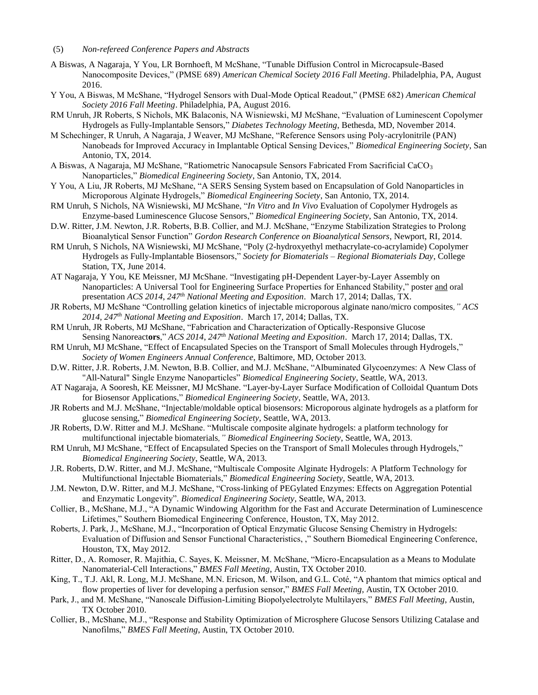- A Biswas, A Nagaraja, Y You, LR Bornhoeft, M McShane, "Tunable Diffusion Control in Microcapsule-Based Nanocomposite Devices," (PMSE 689) *American Chemical Society 2016 Fall Meeting*. Philadelphia, PA, August 2016.
- Y You, A Biswas, M McShane, "Hydrogel Sensors with Dual-Mode Optical Readout," (PMSE 682) *American Chemical Society 2016 Fall Meeting*. Philadelphia, PA, August 2016.
- RM Unruh, JR Roberts, S Nichols, MK Balaconis, NA Wisniewski, MJ McShane, "Evaluation of Luminescent Copolymer Hydrogels as Fully-Implantable Sensors," *Diabetes Technology Meeting*, Bethesda, MD, November 2014.
- M Schechinger, R Unruh, A Nagaraja, J Weaver, MJ McShane, "Reference Sensors using Poly-acrylonitrile (PAN) Nanobeads for Improved Accuracy in Implantable Optical Sensing Devices," *Biomedical Engineering Society*, San Antonio, TX, 2014.
- A Biswas, A Nagaraja, MJ McShane, "Ratiometric Nanocapsule Sensors Fabricated From Sacrificial CaCO<sub>3</sub> Nanoparticles," *Biomedical Engineering Society*, San Antonio, TX, 2014.
- Y You, A Liu, JR Roberts, MJ McShane, "A SERS Sensing System based on Encapsulation of Gold Nanoparticles in Microporous Alginate Hydrogels," *Biomedical Engineering Society*, San Antonio, TX, 2014.
- RM Unruh, S Nichols, NA Wisniewski, MJ McShane, "*In Vitro* and *In Vivo* Evaluation of Copolymer Hydrogels as Enzyme-based Luminescence Glucose Sensors," *Biomedical Engineering Society*, San Antonio, TX, 2014.
- D.W. Ritter, J.M. Newton, J.R. Roberts, B.B. Collier, and M.J. McShane, "Enzyme Stabilization Strategies to Prolong Bioanalytical Sensor Function" *Gordon Research Conference on Bioanalytical Sensors*, Newport, RI, 2014.
- RM Unruh, S Nichols, NA Wisniewski, MJ McShane, "Poly (2-hydroxyethyl methacrylate-co-acrylamide) Copolymer Hydrogels as Fully-Implantable Biosensors," *Society for Biomaterials – Regional Biomaterials Day*, College Station, TX, June 2014.
- AT Nagaraja, Y You, KE Meissner, MJ McShane. "Investigating pH-Dependent Layer-by-Layer Assembly on Nanoparticles: A Universal Tool for Engineering Surface Properties for Enhanced Stability," poster and oral presentation *ACS 2014*, *247th National Meeting and Exposition*. March 17, 2014; Dallas, TX.
- JR Roberts, MJ McShane "Controlling gelation kinetics of injectable microporous alginate nano/micro composites*," ACS 2014*, *247th National Meeting and Exposition*. March 17, 2014; Dallas, TX.
- RM Unruh, JR Roberts, MJ McShane, "Fabrication and Characterization of Optically-Responsive Glucose Sensing Nanoreact**ors**," *ACS 2014*, *247th National Meeting and Exposition*. March 17, 2014; Dallas, TX.
- RM Unruh, MJ McShane, "Effect of Encapsulated Species on the Transport of Small Molecules through Hydrogels," *Society of Women Engineers Annual Conference*, Baltimore, MD, October 2013.
- D.W. Ritter, J.R. Roberts, J.M. Newton, B.B. Collier, and M.J. McShane, "Albuminated Glycoenzymes: A New Class of "All-Natural" Single Enzyme Nanoparticles" *Biomedical Engineering Society*, Seattle, WA, 2013.
- AT Nagaraja, A Sooresh, KE Meissner, MJ McShane. "Layer-by-Layer Surface Modification of Colloidal Quantum Dots for Biosensor Applications," *Biomedical Engineering Society*, Seattle, WA, 2013.
- JR Roberts and M.J. McShane, "Injectable/moldable optical biosensors: Microporous alginate hydrogels as a platform for glucose sensing," *Biomedical Engineering Society*, Seattle, WA, 2013.
- JR Roberts, D.W. Ritter and M.J. McShane. "Multiscale composite alginate hydrogels: a platform technology for multifunctional injectable biomaterials*," Biomedical Engineering Society*, Seattle, WA, 2013.
- RM Unruh, MJ McShane, "Effect of Encapsulated Species on the Transport of Small Molecules through Hydrogels," *Biomedical Engineering Society*, Seattle, WA, 2013.
- J.R. Roberts, D.W. Ritter, and M.J. McShane, "Multiscale Composite Alginate Hydrogels: A Platform Technology for Multifunctional Injectable Biomaterials," *Biomedical Engineering Society*, Seattle, WA, 2013.
- J.M. Newton, D.W. Ritter, and M.J. McShane, "Cross-linking of PEGylated Enzymes: Effects on Aggregation Potential and Enzymatic Longevity". *Biomedical Engineering Society*, Seattle, WA, 2013.
- Collier, B., McShane, M.J., "A Dynamic Windowing Algorithm for the Fast and Accurate Determination of Luminescence Lifetimes," Southern Biomedical Engineering Conference, Houston, TX, May 2012.
- Roberts, J. Park, J., McShane, M.J., "Incorporation of Optical Enzymatic Glucose Sensing Chemistry in Hydrogels: Evaluation of Diffusion and Sensor Functional Characteristics, ," Southern Biomedical Engineering Conference, Houston, TX, May 2012.
- Ritter, D., A. Romoser, R. Majithia, C. Sayes, K. Meissner, M. McShane, "Micro-Encapsulation as a Means to Modulate Nanomaterial-Cell Interactions," *BMES Fall Meeting*, Austin, TX October 2010.
- King, T., T.J. Akl, R. Long, M.J. McShane, M.N. Ericson, M. Wilson, and G.L. Coté, "A phantom that mimics optical and flow properties of liver for developing a perfusion sensor," *BMES Fall Meeting*, Austin, TX October 2010.
- Park, J., and M. McShane, "Nanoscale Diffusion-Limiting Biopolyelectrolyte Multilayers," *BMES Fall Meeting*, Austin, TX October 2010.
- Collier, B., McShane, M.J., "Response and Stability Optimization of Microsphere Glucose Sensors Utilizing Catalase and Nanofilms," *BMES Fall Meeting*, Austin, TX October 2010.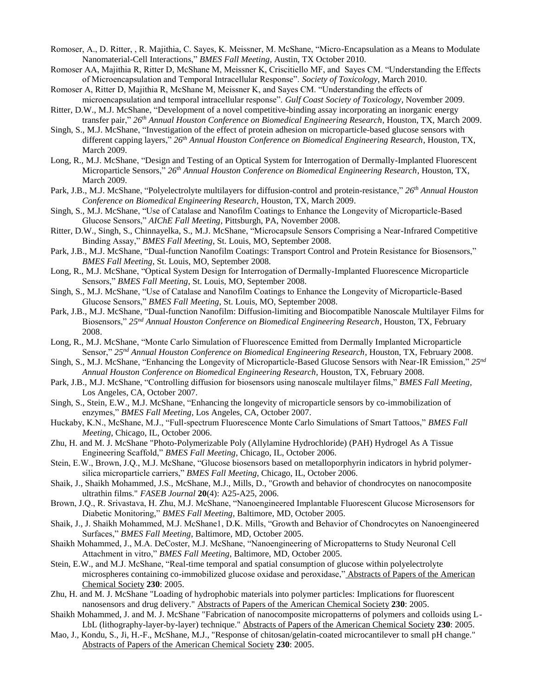- Romoser, A., D. Ritter, , R. Majithia, C. Sayes, K. Meissner, M. McShane, "Micro-Encapsulation as a Means to Modulate Nanomaterial-Cell Interactions," *BMES Fall Meeting*, Austin, TX October 2010.
- Romoser AA, Majithia R, Ritter D, McShane M, Meissner K, Criscitiello MF, and Sayes CM. "Understanding the Effects of Microencapsulation and Temporal Intracellular Response". *Society of Toxicology*, March 2010.
- Romoser A, Ritter D, Majithia R, McShane M, Meissner K, and Sayes CM. "Understanding the effects of microencapsulation and temporal intracellular response". *Gulf Coast Society of Toxicology*, November 2009.
- Ritter, D.W., M.J. McShane, "Development of a novel competitive-binding assay incorporating an inorganic energy transfer pair," *26th Annual Houston Conference on Biomedical Engineering Research*, Houston, TX, March 2009.
- Singh, S., M.J. McShane, "Investigation of the effect of protein adhesion on microparticle-based glucose sensors with different capping layers," *26th Annual Houston Conference on Biomedical Engineering Research*, Houston, TX, March 2009.
- Long, R., M.J. McShane, "Design and Testing of an Optical System for Interrogation of Dermally-Implanted Fluorescent Microparticle Sensors," *26th Annual Houston Conference on Biomedical Engineering Research*, Houston, TX, March 2009.
- Park, J.B., M.J. McShane, "Polyelectrolyte multilayers for diffusion-control and protein-resistance," *26th Annual Houston Conference on Biomedical Engineering Research*, Houston, TX, March 2009.
- Singh, S., M.J. McShane, "Use of Catalase and Nanofilm Coatings to Enhance the Longevity of Microparticle-Based Glucose Sensors," *AIChE Fall Meeting*, Pittsburgh, PA, November 2008.
- Ritter, D.W., Singh, S., Chinnayelka, S., M.J. McShane, "Microcapsule Sensors Comprising a Near-Infrared Competitive Binding Assay," *BMES Fall Meeting*, St. Louis, MO, September 2008.
- Park, J.B., M.J. McShane, "Dual-function Nanofilm Coatings: Transport Control and Protein Resistance for Biosensors," *BMES Fall Meeting*, St. Louis, MO, September 2008.
- Long, R., M.J. McShane, "Optical System Design for Interrogation of Dermally-Implanted Fluorescence Microparticle Sensors," *BMES Fall Meeting*, St. Louis, MO, September 2008.
- Singh, S., M.J. McShane, "Use of Catalase and Nanofilm Coatings to Enhance the Longevity of Microparticle-Based Glucose Sensors," *BMES Fall Meeting*, St. Louis, MO, September 2008.
- Park, J.B., M.J. McShane, "Dual-function Nanofilm: Diffusion-limiting and Biocompatible Nanoscale Multilayer Films for Biosensors," *25nd Annual Houston Conference on Biomedical Engineering Research*, Houston, TX, February 2008.
- Long, R., M.J. McShane, "Monte Carlo Simulation of Fluorescence Emitted from Dermally Implanted Microparticle Sensor," *25nd Annual Houston Conference on Biomedical Engineering Research*, Houston, TX, February 2008.
- Singh, S., M.J. McShane, "Enhancing the Longevity of Microparticle-Based Glucose Sensors with Near-IR Emission," *25nd Annual Houston Conference on Biomedical Engineering Research*, Houston, TX, February 2008.
- Park, J.B., M.J. McShane, "Controlling diffusion for biosensors using nanoscale multilayer films," *BMES Fall Meeting*, Los Angeles, CA, October 2007.
- Singh, S., Stein, E.W., M.J. McShane, "Enhancing the longevity of microparticle sensors by co-immobilization of enzymes," *BMES Fall Meeting*, Los Angeles, CA, October 2007.
- Huckaby, K.N., McShane, M.J., "Full-spectrum Fluorescence Monte Carlo Simulations of Smart Tattoos," *BMES Fall Meeting*, Chicago, IL, October 2006.
- Zhu, H. and M. J. McShane "Photo-Polymerizable Poly (Allylamine Hydrochloride) (PAH) Hydrogel As A Tissue Engineering Scaffold," *BMES Fall Meeting*, Chicago, IL, October 2006.
- Stein, E.W., Brown, J.Q., M.J. McShane, "Glucose biosensors based on metalloporphyrin indicators in hybrid polymersilica microparticle carriers," *BMES Fall Meeting*, Chicago, IL, October 2006.
- Shaik, J., Shaikh Mohammed, J.S., McShane, M.J., Mills, D., "Growth and behavior of chondrocytes on nanocomposite ultrathin films." *FASEB Journal* **20**(4): A25-A25, 2006.
- Brown, J.Q., R. Srivastava, H. Zhu, M.J. McShane, "Nanoengineered Implantable Fluorescent Glucose Microsensors for Diabetic Monitoring," *BMES Fall Meeting*, Baltimore, MD, October 2005.
- Shaik, J., J. Shaikh Mohammed, M.J. McShane1, D.K. Mills, "Growth and Behavior of Chondrocytes on Nanoengineered Surfaces," *BMES Fall Meeting*, Baltimore, MD, October 2005.
- Shaikh Mohammed, J., M.A. DeCoster, M.J. McShane, "Nanoengineering of Micropatterns to Study Neuronal Cell Attachment in vitro," *BMES Fall Meeting*, Baltimore, MD, October 2005.
- Stein, E.W., and M.J. McShane, "Real-time temporal and spatial consumption of glucose within polyelectrolyte microspheres containing co-immobilized glucose oxidase and peroxidase," Abstracts of Papers of the American Chemical Society **230**: 2005.
- Zhu, H. and M. J. McShane "Loading of hydrophobic materials into polymer particles: Implications for fluorescent nanosensors and drug delivery." Abstracts of Papers of the American Chemical Society **230**: 2005.
- Shaikh Mohammed, J. and M. J. McShane "Fabrication of nanocomposite micropatterns of polymers and colloids using L-LbL (lithography-layer-by-layer) technique." Abstracts of Papers of the American Chemical Society **230**: 2005.
- Mao, J., Kondu, S., Ji, H.-F., McShane, M.J., "Response of chitosan/gelatin-coated microcantilever to small pH change." Abstracts of Papers of the American Chemical Society **230**: 2005.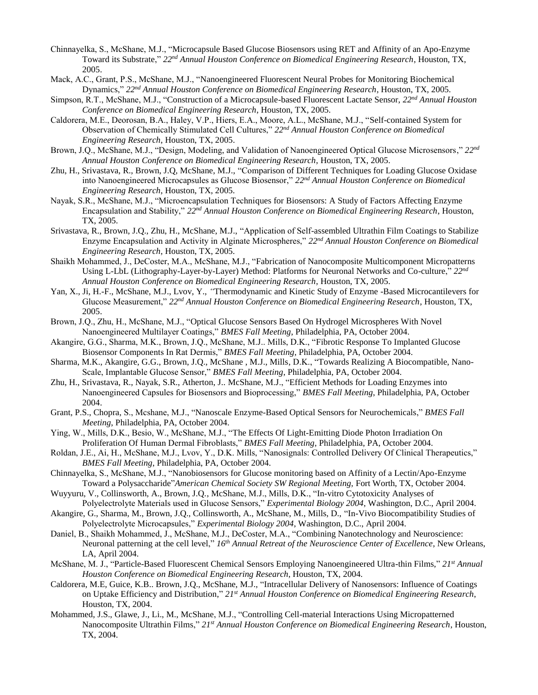- Chinnayelka, S., McShane, M.J., "Microcapsule Based Glucose Biosensors using RET and Affinity of an Apo-Enzyme Toward its Substrate," *22nd Annual Houston Conference on Biomedical Engineering Research*, Houston, TX, 2005.
- Mack, A.C., Grant, P.S., McShane, M.J., "Nanoengineered Fluorescent Neural Probes for Monitoring Biochemical Dynamics," *22nd Annual Houston Conference on Biomedical Engineering Research*, Houston, TX, 2005.
- Simpson, R.T., McShane, M.J., "Construction of a Microcapsule-based Fluorescent Lactate Sensor, *22nd Annual Houston Conference on Biomedical Engineering Research*, Houston, TX, 2005.
- Caldorera, M.E., Deorosan, B.A., Haley, V.P., Hiers, E.A., Moore, A.L., McShane, M.J., "Self-contained System for Observation of Chemically Stimulated Cell Cultures," *22nd Annual Houston Conference on Biomedical Engineering Research*, Houston, TX, 2005.
- Brown, J.Q., McShane, M.J., "Design, Modeling, and Validation of Nanoengineered Optical Glucose Microsensors," *22nd Annual Houston Conference on Biomedical Engineering Research*, Houston, TX, 2005.
- Zhu, H., Srivastava, R., Brown, J.Q, McShane, M.J., "Comparison of Different Techniques for Loading Glucose Oxidase into Nanoengineered Microcapsules as Glucose Biosensor," *22nd Annual Houston Conference on Biomedical Engineering Research*, Houston, TX, 2005.
- Nayak, S.R., McShane, M.J., "Microencapsulation Techniques for Biosensors: A Study of Factors Affecting Enzyme Encapsulation and Stability," *22nd Annual Houston Conference on Biomedical Engineering Research*, Houston, TX, 2005.
- Srivastava, R., Brown, J.Q., Zhu, H., McShane, M.J., "Application of Self-assembled Ultrathin Film Coatings to Stabilize Enzyme Encapsulation and Activity in Alginate Microspheres," *22nd Annual Houston Conference on Biomedical Engineering Research*, Houston, TX, 2005.
- Shaikh Mohammed, J., DeCoster, M.A., McShane, M.J., "Fabrication of Nanocomposite Multicomponent Micropatterns Using L-LbL (Lithography-Layer-by-Layer) Method: Platforms for Neuronal Networks and Co-culture," *22nd Annual Houston Conference on Biomedical Engineering Research*, Houston, TX, 2005.
- Yan, X., Ji, H.-F., McShane, M.J., Lvov, Y., *"*Thermodynamic and Kinetic Study of Enzyme -Based Microcantilevers for Glucose Measurement," *22nd Annual Houston Conference on Biomedical Engineering Research*, Houston, TX, 2005.
- Brown, J.Q., Zhu, H., McShane, M.J., "Optical Glucose Sensors Based On Hydrogel Microspheres With Novel Nanoengineered Multilayer Coatings," *BMES Fall Meeting*, Philadelphia, PA, October 2004.
- Akangire, G.G., Sharma, M.K., Brown, J.Q., McShane, M.J.. Mills, D.K., "Fibrotic Response To Implanted Glucose Biosensor Components In Rat Dermis," *BMES Fall Meeting*, Philadelphia, PA, October 2004.
- Sharma, M.K., Akangire, G.G., Brown, J.Q., McShane , M.J., Mills, D.K., "Towards Realizing A Biocompatible, Nano-Scale, Implantable Glucose Sensor," *BMES Fall Meeting*, Philadelphia, PA, October 2004.
- Zhu, H., Srivastava, R., Nayak, S.R., Atherton, J.. McShane, M.J., "Efficient Methods for Loading Enzymes into Nanoengineered Capsules for Biosensors and Bioprocessing," *BMES Fall Meeting*, Philadelphia, PA, October 2004.
- Grant, P.S., Chopra, S., Mcshane, M.J., "Nanoscale Enzyme-Based Optical Sensors for Neurochemicals," *BMES Fall Meeting*, Philadelphia, PA, October 2004.
- Ying, W., Mills, D.K., Besio, W., McShane, M.J., "The Effects Of Light-Emitting Diode Photon Irradiation On Proliferation Of Human Dermal Fibroblasts," *BMES Fall Meeting*, Philadelphia, PA, October 2004.
- Roldan, J.E., Ai, H., McShane, M.J., Lvov, Y., D.K. Mills, "Nanosignals: Controlled Delivery Of Clinical Therapeutics," *BMES Fall Meeting*, Philadelphia, PA, October 2004.
- Chinnayelka, S., McShane, M.J., "Nanobiosensors for Glucose monitoring based on Affinity of a Lectin/Apo-Enzyme Toward a Polysaccharide"*American Chemical Society SW Regional Meeting,* Fort Worth, TX, October 2004.
- Wuyyuru, V., Collinsworth, A., Brown, J.Q., McShane, M.J., Mills, D.K., "In-vitro Cytotoxicity Analyses of Polyelectrolyte Materials used in Glucose Sensors," *Experimental Biology 2004*, Washington, D.C., April 2004.
- Akangire, G., Sharma, M., Brown, J.Q., Collinsworth, A., McShane, M., Mills, D., "In-Vivo Biocompatibility Studies of Polyelectrolyte Microcapsules," *Experimental Biology 2004*, Washington, D.C., April 2004.
- Daniel, B., Shaikh Mohammed, J., McShane, M.J., DeCoster, M.A., "Combining Nanotechnology and Neuroscience: Neuronal patterning at the cell level," *16th Annual Retreat of the Neuroscience Center of Excellence*, New Orleans, LA, April 2004.
- McShane, M. J., "Particle-Based Fluorescent Chemical Sensors Employing Nanoengineered Ultra-thin Films," *21st Annual Houston Conference on Biomedical Engineering Research*, Houston, TX, 2004.
- Caldorera, M.E, Guice, K.B.. Brown, J.Q., McShane, M.J., "Intracellular Delivery of Nanosensors: Influence of Coatings on Uptake Efficiency and Distribution," *21st Annual Houston Conference on Biomedical Engineering Research*, Houston, TX, 2004.
- Mohammed, J.S., Glawe, J., Li., M., McShane, M.J., "Controlling Cell-material Interactions Using Micropatterned Nanocomposite Ultrathin Films," *21st Annual Houston Conference on Biomedical Engineering Research*, Houston, TX, 2004.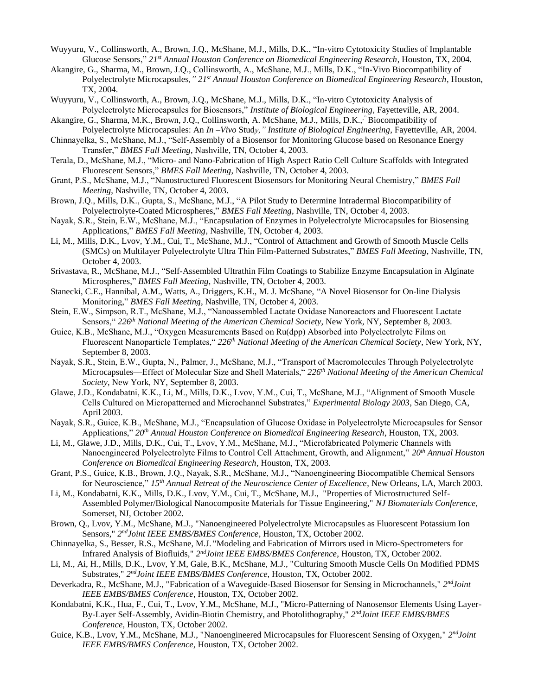- Wuyyuru, V., Collinsworth, A., Brown, J.Q., McShane, M.J., Mills, D.K., "In-vitro Cytotoxicity Studies of Implantable Glucose Sensors," *21st Annual Houston Conference on Biomedical Engineering Research*, Houston, TX, 2004.
- Akangire, G., Sharma, M., Brown, J.Q., Collinsworth, A., McShane, M.J., Mills, D.K., "In-Vivo Biocompatibility of Polyelectrolyte Microcapsules*," 21st Annual Houston Conference on Biomedical Engineering Research*, Houston, TX, 2004.
- Wuyyuru, V., Collinsworth, A., Brown, J.Q., McShane, M.J., Mills, D.K., "In-vitro Cytotoxicity Analysis of Polyelectrolyte Microcapsules for Biosensors," *Institute of Biological Engineering*, Fayetteville, AR, 2004.
- Akangire, G., Sharma, M.K., Brown, J.Q., Collinsworth, A. McShane, M.J., Mills, D.K.," Biocompatibility of Polyelectrolyte Microcapsules: An *In –Vivo* Stud*y," Institute of Biological Engineering*, Fayetteville, AR, 2004.
- Chinnayelka, S., McShane, M.J., "Self-Assembly of a Biosensor for Monitoring Glucose based on Resonance Energy Transfer," *BMES Fall Meeting*, Nashville, TN, October 4, 2003.
- Terala, D., McShane, M.J., "Micro- and Nano-Fabrication of High Aspect Ratio Cell Culture Scaffolds with Integrated Fluorescent Sensors," *BMES Fall Meeting*, Nashville, TN, October 4, 2003.
- Grant, P.S., McShane, M.J., "Nanostructured Fluorescent Biosensors for Monitoring Neural Chemistry," *BMES Fall Meeting*, Nashville, TN, October 4, 2003.
- Brown, J.Q., Mills, D.K., Gupta, S., McShane, M.J., "A Pilot Study to Determine Intradermal Biocompatibility of Polyelectrolyte-Coated Microspheres," *BMES Fall Meeting*, Nashville, TN, October 4, 2003.
- Nayak, S.R., Stein, E.W., McShane, M.J., "Encapsulation of Enzymes in Polyelectrolyte Microcapsules for Biosensing Applications," *BMES Fall Meeting*, Nashville, TN, October 4, 2003.
- Li, M., Mills, D.K., Lvov, Y.M., Cui, T., McShane, M.J., "Control of Attachment and Growth of Smooth Muscle Cells (SMCs) on Multilayer Polyelectrolyte Ultra Thin Film-Patterned Substrates," *BMES Fall Meeting*, Nashville, TN, October 4, 2003.
- Srivastava, R., McShane, M.J., "Self-Assembled Ultrathin Film Coatings to Stabilize Enzyme Encapsulation in Alginate Microspheres," *BMES Fall Meeting*, Nashville, TN, October 4, 2003.
- Stanecki, C.E., Hannibal, A.M., Watts, A., Driggers, K.H., M. J. McShane, "A Novel Biosensor for On-line Dialysis Monitoring," *BMES Fall Meeting*, Nashville, TN, October 4, 2003.
- Stein, E.W., Simpson, R.T., McShane, M.J., "Nanoassembled Lactate Oxidase Nanoreactors and Fluorescent Lactate Sensors," *226th National Meeting of the American Chemical Society*, New York, NY, September 8, 2003.
- Guice, K.B., McShane, M.J., "Oxygen Measurements Based on Ru(dpp) Absorbed into Polyelectrolyte Films on Fluorescent Nanoparticle Templates," *226th National Meeting of the American Chemical Society*, New York, NY, September 8, 2003.
- Nayak, S.R., Stein, E.W., Gupta, N., Palmer, J., McShane, M.J., "Transport of Macromolecules Through Polyelectrolyte Microcapsules—Effect of Molecular Size and Shell Materials," *226th National Meeting of the American Chemical Society*, New York, NY, September 8, 2003.
- Glawe, J.D., Kondabatni, K.K., Li, M., Mills, D.K., Lvov, Y.M., Cui, T., McShane, M.J., "Alignment of Smooth Muscle Cells Cultured on Micropatterned and Microchannel Substrates," *Experimental Biology 2003*, San Diego, CA, April 2003.
- Nayak, S.R., Guice, K.B., McShane, M.J., "Encapsulation of Glucose Oxidase in Polyelectrolyte Microcapsules for Sensor Applications," *20th Annual Houston Conference on Biomedical Engineering Research*, Houston, TX, 2003.
- Li, M., Glawe, J.D., Mills, D.K., Cui, T., Lvov, Y.M., McShane, M.J., "Microfabricated Polymeric Channels with Nanoengineered Polyelectrolyte Films to Control Cell Attachment, Growth, and Alignment," *20th Annual Houston Conference on Biomedical Engineering Research*, Houston, TX, 2003.
- Grant, P.S., Guice, K.B., Brown, J.Q., Nayak, S.R., McShane, M.J., "Nanoengineering Biocompatible Chemical Sensors for Neuroscience," *15th Annual Retreat of the Neuroscience Center of Excellence*, New Orleans, LA, March 2003.
- Li, M., Kondabatni, K.K., Mills, D.K., Lvov, Y.M., Cui, T., McShane, M.J., "Properties of Microstructured Self-Assembled Polymer/Biological Nanocomposite Materials for Tissue Engineering," *NJ Biomaterials Conference*, Somerset, NJ, October 2002.
- Brown, Q., Lvov, Y.M., McShane, M.J., "Nanoengineered Polyelectrolyte Microcapsules as Fluorescent Potassium Ion Sensors," 2<sup>nd</sup>Joint IEEE EMBS/BMES Conference, Houston, TX, October 2002.
- Chinnayelka, S., Besser, R.S., McShane, M.J. "Modeling and Fabrication of Mirrors used in Micro-Spectrometers for Infrared Analysis of Biofluids," 2<sup>nd</sup>Joint IEEE EMBS/BMES Conference, Houston, TX, October 2002.
- Li, M., Ai, H., Mills, D.K., Lvov, Y.M, Gale, B.K., McShane, M.J., "Culturing Smooth Muscle Cells On Modified PDMS Substrates," 2<sup>nd</sup>Joint IEEE EMBS/BMES Conference, Houston, TX, October 2002.
- Deverkadra, R., McShane, M.J., "Fabrication of a Waveguide-Based Biosensor for Sensing in Microchannels," 2<sup>nd</sup>Joint *IEEE EMBS/BMES Conference*, Houston, TX, October 2002.
- Kondabatni, K.K., Hua, F., Cui, T., Lvov, Y.M., McShane, M.J., "Micro-Patterning of Nanosensor Elements Using Layer-By-Layer Self-Assembly, Avidin-Biotin Chemistry, and Photolithography,"  $2^{nd}Joint IEEE EMBS/BMES$ *Conference*, Houston, TX, October 2002.
- Guice, K.B., Lvov, Y.M., McShane, M.J., "Nanoengineered Microcapsules for Fluorescent Sensing of Oxygen," 2<sup>nd</sup>Joint *IEEE EMBS/BMES Conference*, Houston, TX, October 2002.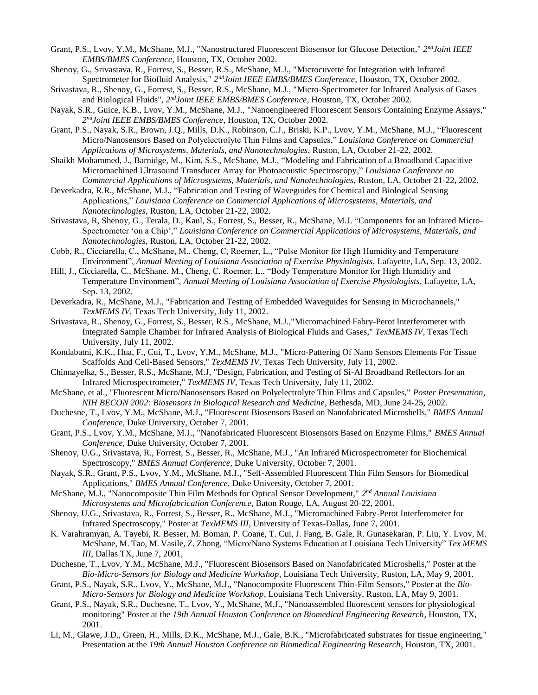- Grant, P.S., Lvov, Y.M., McShane, M.J., "Nanostructured Fluorescent Biosensor for Glucose Detection," 2<sup>nd</sup>Joint IEEE *EMBS/BMES Conference*, Houston, TX, October 2002.
- Shenoy, G., Srivastava, R., Forrest, S., Besser, R.S., McShane, M.J., "Microcuvette for Integration with Infrared Spectrometer for Biofluid Analysis,"  $2^{nd}$ *Joint IEEE EMBS/BMES Conference*, Houston, TX, October 2002.
- Srivastava, R., Shenoy, G., Forrest, S., Besser, R.S., McShane, M.J., "Micro-Spectrometer for Infrared Analysis of Gases and Biological Fluids", 2<sup>nd</sup>Joint IEEE EMBS/BMES Conference, Houston, TX, October 2002.
- Nayak, S.R., Guice, K.B., Lvov, Y.M., McShane, M.J., "Nanoengineered Fluorescent Sensors Containing Enzyme Assays," *2 ndJoint IEEE EMBS/BMES Conference*, Houston, TX, October 2002.
- Grant, P.S., Nayak, S.R., Brown, J.Q., Mills, D.K., Robinson, C.J., Briski, K.P., Lvov, Y.M., McShane, M.J., "Fluorescent Micro/Nanosensors Based on Polyelectrolyte Thin Films and Capsules," *Louisiana Conference on Commercial Applications of Microsystems, Materials, and Nanotechnologies*, Ruston, LA, October 21-22, 2002.
- Shaikh Mohammed, J., Barnidge, M., Kim, S.S., McShane, M.J., "Modeling and Fabrication of a Broadband Capacitive Micromachined Ultrasound Transducer Array for Photoacoustic Spectroscopy," *Louisiana Conference on Commercial Applications of Microsystems, Materials, and Nanotechnologies*, Ruston, LA, October 21-22, 2002.
- Deverkadra, R.R., McShane, M.J., "Fabrication and Testing of Waveguides for Chemical and Biological Sensing Applications," *Louisiana Conference on Commercial Applications of Microsystems, Materials, and Nanotechnologies*, Ruston, LA, October 21-22, 2002.
- Srivastava, R, Shenoy, G., Terala, D., Kaul, S., Forrest, S., Besser, R., McShane, M.J. "Components for an Infrared Micro-Spectrometer 'on a Chip'," *Louisiana Conference on Commercial Applications of Microsystems, Materials, and Nanotechnologies*, Ruston, LA, October 21-22, 2002.
- Cobb, R., Cicciarella, C., McShane, M., Cheng, C, Roemer, L., "Pulse Monitor for High Humidity and Temperature Environment", *Annual Meeting of Louisiana Association of Exercise Physiologists*, Lafayette, LA, Sep. 13, 2002.
- Hill, J., Cicciarella, C., McShane, M., Cheng, C, Roemer, L., "Body Temperature Monitor for High Humidity and Temperature Environment", *Annual Meeting of Louisiana Association of Exercise Physiologists*, Lafayette, LA, Sep. 13, 2002.
- Deverkadra, R., McShane, M.J., "Fabrication and Testing of Embedded Waveguides for Sensing in Microchannels," *TexMEMS IV*, Texas Tech University, July 11, 2002.
- Srivastava, R., Shenoy, G., Forrest, S., Besser, R.S., McShane, M.J.,"Micromachined Fabry-Perot Interferometer with Integrated Sample Chamber for Infrared Analysis of Biological Fluids and Gases," *TexMEMS IV*, Texas Tech University, July 11, 2002.
- Kondabatni, K.K., Hua, F., Cui, T., Lvov, Y.M., McShane, M.J., "Micro-Pattering Of Nano Sensors Elements For Tissue Scaffolds And Cell-Based Sensors," *TexMEMS IV*, Texas Tech University, July 11, 2002.
- Chinnayelka, S., Besser, R.S., McShane, M.J, "Design, Fabrication, and Testing of Si-Al Broadband Reflectors for an Infrared Microspectrometer," *TexMEMS IV*, Texas Tech University, July 11, 2002.
- McShane, et al., "Fluorescent Micro/Nanosensors Based on Polyelectrolyte Thin Films and Capsules," *Poster Presentation*, *NIH BECON 2002: Biosensors in Biological Research and Medicine*, Bethesda, MD, June 24-25, 2002.
- Duchesne, T., Lvov, Y.M., McShane, M.J., "Fluorescent Biosensors Based on Nanofabricated Microshells," *BMES Annual Conference*, Duke University, October 7, 2001.
- Grant, P.S., Lvov, Y.M., McShane, M.J., "Nanofabricated Fluorescent Biosensors Based on Enzyme Films," *BMES Annual Conference*, Duke University, October 7, 2001.
- Shenoy, U.G., Srivastava, R., Forrest, S., Besser, R., McShane, M.J., "An Infrared Microspectrometer for Biochemical Spectroscopy," *BMES Annual Conference*, Duke University, October 7, 2001.
- Nayak, S.R., Grant, P.S., Lvov, Y.M., McShane, M.J., "Self-Assembled Fluorescent Thin Film Sensors for Biomedical Applications," *BMES Annual Conference*, Duke University, October 7, 2001.
- McShane, M.J., "Nanocomposite Thin Film Methods for Optical Sensor Development," 2<sup>nd</sup> Annual Louisiana *Microsystems and Microfabrication Conference*, Baton Rouge, LA, August 20-22, 2001.
- Shenoy, U.G., Srivastava, R., Forrest, S., Besser, R., McShane, M.J., "Micromachined Fabry-Perot Interferometer for Infrared Spectroscopy," Poster at *TexMEMS III*, University of Texas-Dallas, June 7, 2001.
- K. Varahramyan, A. Tayebi, R. Besser, M. Boman, P. Coane, T. Cui, J. Fang, B. Gale, R. Gunasekaran, P. Liu, Y. Lvov, M. McShane, M. Tao, M. Vasile, Z. Zhong, "Micro/Nano Systems Education at Louisiana Tech University" *Tex MEMS III*, Dallas TX, June 7, 2001,
- Duchesne, T., Lvov, Y.M., McShane, M.J., "Fluorescent Biosensors Based on Nanofabricated Microshells," Poster at the *Bio-Micro-Sensors for Biology and Medicine Workshop*, Louisiana Tech University, Ruston, LA, May 9, 2001.
- Grant, P.S., Nayak, S.R., Lvov, Y., McShane, M.J., "Nanocomposite Fluorescent Thin-Film Sensors," Poster at the *Bio-Micro-Sensors for Biology and Medicine Workshop*, Louisiana Tech University, Ruston, LA, May 9, 2001.
- Grant, P.S., Nayak, S.R., Duchesne, T., Lvov, Y., McShane, M.J., "Nanoassembled fluorescent sensors for physiological monitoring" Poster at the *19th Annual Houston Conference on Biomedical Engineering Research*, Houston, TX, 2001.
- Li, M., Glawe, J.D., Green, H., Mills, D.K., McShane, M.J., Gale, B.K., "Microfabricated substrates for tissue engineering," Presentation at the *19th Annual Houston Conference on Biomedical Engineering Research*, Houston, TX, 2001.